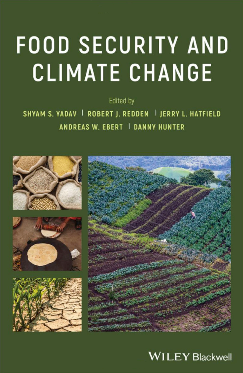# **FOOD SECURITY AND** CLIMATE CHANGE

**Edited by** 

SHYAM S. YADAV | ROBERT J. REDDEN | JERRY L. HATFIELD **ANDREAS W. EBERT | DANNY HUNTER** 



 $\mathsf{V}\mathsf{I}\mathsf{L}\mathsf{E}\mathsf{Y}$  Blackwell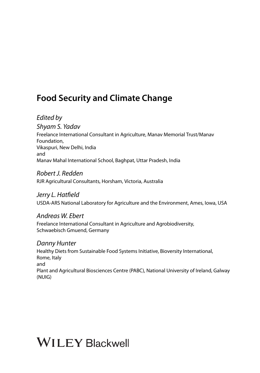## **Food Security and Climate Change**

#### Edited by

Shyam S. Yadav Freelance International Consultant in Agriculture, Manav Memorial Trust/Manav Foundation, Vikaspuri, New Delhi, India and Manav Mahal International School, Baghpat, Uttar Pradesh, India

❦ ❦ Robert J. Redden RJR Agricultural Consultants, Horsham, Victoria, Australia

> Jerry L. Hatfield USDA-ARS National Laboratory for Agriculture and the Environment, Ames, Iowa, USA

#### Andreas W. Ebert

Freelance International Consultant in Agriculture and Agrobiodiversity, Schwaebisch Gmuend, Germany

#### Danny Hunter

Healthy Diets from Sustainable Food Systems Initiative, Bioversity International, Rome, Italy and Plant and Agricultural Biosciences Centre (PABC), National University of Ireland, Galway (NUIG)

# **WILEY Blackwell**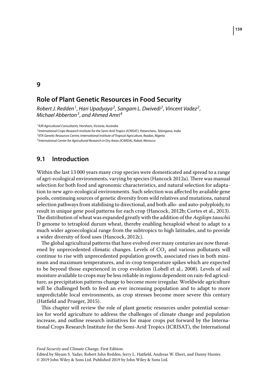#### **Role of Plant Genetic Resources in Food Security**

Robert J. Redden<sup>1</sup>, Hari Upadyaya<sup>2</sup>, Sangam L. Dwivedi<sup>2</sup>, Vincent Vadez<sup>2</sup>, Michael Abberton<sup>3</sup>, and Ahmed Amri<sup>4</sup>

1RJR Agricultural Consultants, Horsham, Victoria, Australia

<sup>2</sup> International Crops Research Institute for the Semi-Arid Tropics (ICRISAT), Patancheru, Telangana, India <sup>3</sup> IITA Genetic Resources Centre, International Institute of Tropical Agriculture, Ibadan, Nigeria

4International Center for Agricultural Research in Dry Areas (ICARDA), Rabat, Morocco

#### **9.1 Introduction**

**9**

❦ ❦ selection for both food and agronomic characteristics, and natural selection for adapta-Within the last 13 000 years many crop species were domesticated and spread to a range of agri-ecological environments, varying by species (Hancock 2012a). There was manual tion to new agro-ecological environments. Such selection was affected by available gene pools, continuing sources of genetic diversity from wild relatives and mutations, natural selection pathways from stabilising to directional, and both allo- and auto-polyploidy, to result in unique gene pool patterns for each crop (Hancock, 2012b; Cortes et al., 2013). The distribution of wheat was expanded greatly with the addition of the*Aegilops tauschii* D genome to tetraploid durum wheat, thereby enabling hexaploid wheat to adapt to a much wider agroecological range from the subtropics to high latitudes, and to provide a wider diversity of food uses (Hancock, 2012c).

> The global agricultural patterns that have evolved over many centuries are now threatened by unprecedented climatic changes. Levels of  $CO<sub>2</sub>$  and various pollutants will continue to rise with unprecedented population growth, associated rises in both minimum and maximum temperatures, and in-crop temperature spikes which are expected to be beyond those experienced in crop evolution (Lobell et al., 2008). Levels of soil moisture available to crops may be less reliable in regions dependent on rain-fed agriculture, as precipitation patterns change to become more irregular. Worldwide agriculture will be challenged both to feed an ever increasing population and to adapt to more unpredictable local environments, as crop stresses become more severe this century (Hatfield and Prueger, 2015).

> This chapter will review the role of plant genetic resources under potential scenarios for world agriculture to address the challenges of climate change and population increase, and outline research initiatives for major crops put forward by the International Crops Research Institute for the Semi-Arid Tropics (ICRISAT), the International

*Food Security and Climate Change,* First Edition.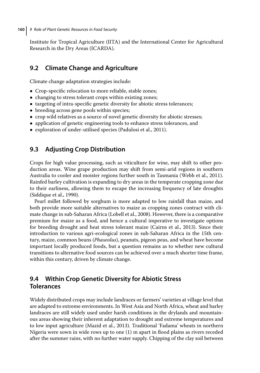Institute for Tropical Agriculture (IITA) and the International Center for Agricultural Research in the Dry Areas (ICARDA).

#### **9.2 Climate Change and Agriculture**

Climate change adaptation strategies include:

- Crop-specific relocation to more reliable, stable zones;
- changing to stress tolerant crops within existing zones;
- targeting of intra-specific genetic diversity for abiotic stress tolerances;
- breeding across gene pools within species;
- crop wild relatives as a source of novel genetic diversity for abiotic stresses;
- application of genetic engineering tools to enhance stress tolerances, and
- exploration of under-utilised species (Padulosi et al., 2011).

#### **9.3 Adjusting Crop Distribution**

to their earliness, allowing them to escape the increasing frequency of late droughts Crops for high value processing, such as viticulture for wine, may shift to other production areas. Wine grape production may shift from semi-arid regions in southern Australia to cooler and moister regions further south in Tasmania (Webb et al., 2011). Rainfed barley cultivation is expanding to dry areas in the temperate cropping zone due (Siddique et al., 1990).

> Pearl millet followed by sorghum is more adapted to low rainfall than maize, and both provide more suitable alternatives to maize as cropping zones contract with climate change in sub-Saharan Africa (Lobell et al., 2008). However, there is a comparative premium for maize as a food, and hence a cultural imperative to investigate options for breeding drought and heat stress tolerant maize (Cairns et al., 2013). Since their introduction to various agri-ecological zones in sub-Saharan Africa in the 15th century, maize, common beans (*Phaseolus*), peanuts, pigeon peas, and wheat have become important locally produced foods, but a question remains as to whether new cultural transitions to alternative food sources can be achieved over a much shorter time frame, within this century, driven by climate change.

#### **9.4 Within Crop Genetic Diversity for Abiotic Stress Tolerances**

Widely distributed crops may include landraces or farmers' varieties at village level that are adapted to extreme environments. In West Asia and North Africa, wheat and barley landraces are still widely used under harsh conditions in the drylands and mountainous areas showing their inherent adaptation to drought and extreme temperatures and to low input agriculture (Mazid et al., 2013). Traditional 'Fadama' wheats in northern Nigeria were sown in wide rows up to one (1) m apart in flood plains as rivers receded after the summer rains, with no further water supply. Chipping of the clay soil between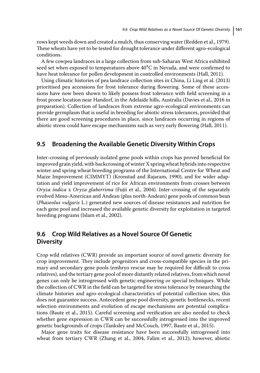rows kept weeds down and created a mulch, thus conserving water (Redden et al., 1979). These wheats have yet to be tested for drought tolerance under different agro-ecological conditions.

A few cowpea landraces in a large collection from sub-Saharan West Africa exhibited seed set when exposed to temperatures above 40∘C in Nevada, and were confirmed to have heat tolerance for pollen development in controlled environments (Hall, 2011).

Using climatic histories of pea landrace collection sites in China, Li Ling et al. (2013) prioritised pea accessions for frost tolerance during flowering. Some of these accessions have now been shown to likely possess frost tolerance with field screening in a frost prone location near Handorf, in the Adelaide hills, Australia (Davies et al., 2016 in preparation). Collection of landraces from extreme agro-ecological environments can provide germplasm that is useful in breeding for abiotic stress tolerances, provided that there are good screening procedures in place, since landraces occurring in regions of abiotic stress could have escape mechanisms such as very early flowering (Hall, 2011).

#### **9.5 Broadening the Available Genetic Diversity Within Crops**

❦ ❦ *Oryza indica* x *Oryza glaberrima* (Fujii et al., 2004). Inter-crossing of the separately Inter-crossing of previously isolated gene pools within crops has proved beneficial for improved grain yield, with backcrossing of winter X spring wheat hybrids into respective winter and spring wheat breeding programs of the International Centre for Wheat and Maize Improvement (CIMMYT) (Kronstad and Rajaram, 1990), and for wider adaptation and yield improvement of rice for African environments from crosses between evolved Meso-American and Andean (plus north-Andean) gene pools of common bean (*Phaseolus vulgaris* L.) generated new sources of disease resistances and nutrition for each gene pool and increased the available genetic diversity for exploitation in targeted breeding programs (Islam et al., 2002).

#### **9.6 Crop Wild Relatives as a Novel Source Of Genetic Diversity**

Crop wild relatives (CWR) provide an important source of novel genetic diversity for crop improvement. They include progenitors and cross-compatible species in the primary and secondary gene pools (embryo rescue may be required for difficult to cross relatives), and the tertiary gene pool of more distantly related relatives, from which novel genes can only be introgressed with genetic engineering or special techniques. While the collection of CWR in the field can be targeted for stress tolerance by researching the climate histories and agro-ecological characteristics of potential collection sites, this does not guarantee success. Antecedent gene pool diversity, genetic bottlenecks, recent selection environments and evolution of escape mechanisms are potential complications (Baute et al., 2015). Careful screening and verification are also needed to check whether gene expression in CWR can be successfully introgressed into the improved genetic backgrounds of crops (Tanksley and McCouch, 1997, Baute et al., 2015).

Major gene traits for disease resistance have been successfully introgressed into wheat from tertiary CWR (Zhang et al., 2004, Falim et al., 2012); however, abiotic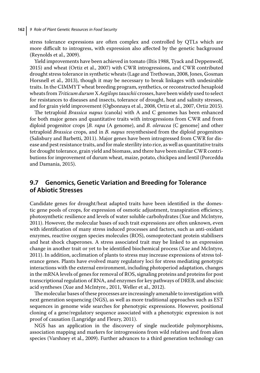stress tolerance expressions are often complex and controlled by QTLs which are more difficult to introgress, with expression also affected by the genetic background (Reynolds et al., 2009).

Yield improvements have been achieved in tomato (Iltis 1988, Tyack and Deppenwolf, 2015) and wheat (Ortiz et al., 2007) with CWR introgressions, and CWR contributed drought stress tolerance in synthetic wheats (Lage and Trethowan, 2008, Jones, Gosman Horsnell et al., 2013), though it may be necessary to break linkages with undesirable traits. In the CIMMYT wheat breeding program, synthetics, or reconstructed hexaploid wheats from *Triticum durum* X*Aegilops tauschii* crosses, have been widely used to select for resistances to diseases and insects, tolerance of drought, heat and salinity stresses, and for grain yield improvement (Ogbonnaya et al., 2008, Ortiz et al., 2007, Ortiz 2015).

The tetraploid *Brassica napus* (canola) with A and C genomes has been enhanced for both major genes and quantitative traits with introgressions from CWR and from diploid progenitor crops [*B. rapa* (A genome), and *B. oleracea* (C genome] and other tetraploid *Brassica* crops, and in *B. napus* resynthesised from the diploid progenitors (Salisbury and Barbetti, 2011). Major genes have been introgressed from CWR for disease and pest resistance traits, and for male sterility into rice, as well as quantitative traits for drought tolerance, grain yield and biomass, and there have been similar CWR contributions for improvement of durum wheat, maize, potato, chickpea and lentil (Porceddu and Damania, 2015).

#### ❦ ❦ **9.7 Genomics, Genetic Variation and Breeding for Tolerance of Abiotic Stresses**

Candidate genes for drought/heat adapted traits have been identified in the domestic gene pools of crops, for expression of osmotic adjustment, transpiration efficiency, photosynthetic resilience and levels of water soluble carbohydrates (Xue and McIntyre, 2011). However, the molecular bases of such trait expressions are often unknown, even with identification of many stress induced processes and factors, such as anti-oxidant enzymes, reactive oxygen species molecules (ROS), osmoprotectant protein stabilisers and heat shock chaperones. A stress associated trait may be linked to an expression change in another trait or yet to be identified biochemical process (Xue and McIntyre, 2011). In addition, acclimation of plants to stress may increase expressions of stress tolerance genes. Plants have evolved many regulatory loci for stress mediating genotypic interactions with the external environment, including photoperiod adaptation, changes in the mRNA levels of genes for removal of ROS, signaling proteins and proteins for post transcriptional regulation of RNA, and enzymes for key pathways of DREB, and abscisic acid syntheses (Xue and McIntyre., 2011, Weller et al., 2012).

The molecular bases of these processes are increasingly amenable to investigation with next generation sequencing (NGS), as well as more traditional approaches such as EST sequences in genome wide searches for phenotypic expressions. However, positional cloning of a gene/regulatory sequence associated with a phenotypic expression is not proof of causation (Langridge and Fleury, 2011).

NGS has an application in the discovery of single nucleotide polymorphisms, association mapping and markers for introgressions from wild relatives and from alien species (Varshney et al., 2009). Further advances to a third generation technology can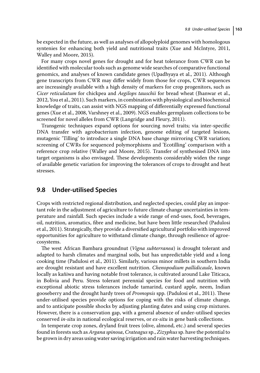be expected in the future, as well as analyses of allopolyploid genomes with homologous syntenies for enhancing both yield and nutritional traits (Xue and McIntyre, 2011, Walley and Moore, 2015).

For many crops novel genes for drought and for heat tolerance from CWR can be identified with molecular tools such as genome wide searches of comparative functional genomics, and analyses of known candidate genes (Upadhyaya et al., 2011). Although gene transcripts from CWR may differ widely from those for crops, CWR sequences are increasingly available with a high density of markers for crop progenitors, such as *Cicer reticulatum* for chickpea and *Aegilops tauschii* for bread wheat (Jhanwar et al., 2012, You et al., 2011). Such markers, in combination with physiological and biochemical knowledge of traits, can assist with NGS mapping of differentially expressed functional genes (Xue et al., 2008, Varshney et al., 2009). NGS enables germplasm collections to be screened for novel alleles from CWR (Langridge and Fleury, 2011).

Transgenic techniques expand options for sourcing novel traits; via inter-specific DNA transfer with agrobacterium infection, genome editing of targeted lesions, mutagenic 'Tilling' to introduce a single DNA base change mirroring CWR variation; screening of CWRs for sequenced polymorphisms and 'Ecotilling' comparison with a reference crop relative (Walley and Moore, 2015). Transfer of synthesised DNA into target organisms is also envisaged. These developments considerably widen the range of available genetic variation for improving the tolerances of crops to drought and heat stresses.

#### 0.0 Under utilized Cuestic **9.8 Under-utilised Species**

Crops with restricted regional distribution, and neglected species, could play an important role in the adjustment of agriculture to future climate change uncertainties in temperature and rainfall. Such species include a wide range of end-uses, food, beverages, oil, nutrition, aromatics, fibre and medicine, but have been little researched (Padulosi et al., 2011). Strategically, they provide a diversified agricultural portfolio with improved opportunities for agriculture to withstand climate change, through resilience of agroecosystems.

The west African Bambara groundnut (*Vigna subterranea*) is drought tolerant and adapted to harsh climates and marginal soils, but has unpredictable yield and a long cooking time (Padulosi et al., 2011). Similarly, various minor millets in southern India are drought resistant and have excellent nutrition. *Chenopodium pallidicaule*, known locally as kañiwa and having notable frost tolerance, is cultivated around Lake Titicaca, in Bolivia and Peru. Stress tolerant perennial species for food and nutrition with exceptional abiotic stress tolerances include tamarind, custard apple, neem, Indian gooseberry and the drought hardy trees of *Promopsis* spp. (Padulosi et al., 2011). These under-utilised species provide options for coping with the risks of climate change, and to anticipate possible shocks by adjusting planting dates and using crop mixtures. However, there is a conservation gap, with a general absence of under-utilised species conserved *in-situ* in national ecological reserves, or *ex-situ* in gene bank collections.

In temperate crop zones, dryland fruit trees (olive, almond, etc.) and several species found in forests such as *Argana spinosa*, *Crateagus*sp., *Zizyphus*sp. have the potential to be grown in dry areas using water saving irrigation and rain water harvesting techniques.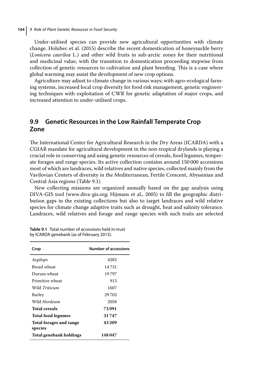Under-utilised species can provide new agricultural opportunities with climate change. Holubec et al. (2015) describe the recent domestication of honeysuckle berry (*Lonicera caerilea* L.) and other wild fruits in sub-arctic zones for their nutritional and medicinal value, with the transition to domestication proceeding stepwise from collection of genetic resources to cultivation and plant breeding. This is a case where global warming may assist the development of new crop options.

Agriculture may adjust to climate change in various ways; with agro-ecological farming systems, increased local crop diversity for food risk management, genetic engineering techniques with exploitation of CWR for genetic adaptation of major crops, and increased attention to under-utilised crops.

#### **9.9 Genetic Resources in the Low Rainfall Temperate Crop Zone**

The International Center for Agricultural Research in the Dry Areas (ICARDA) with a CGIAR mandate for agricultural development in the non-tropical drylands is playing a crucial role in conserving and using genetic resources of cereals, food legumes, temperate forages and range species. Its active collection contains around 150 000 accessions most of which are landraces, wild relatives and native species, collected mainly from the Vavilovian Centers of diversity in the Mediterranean, Fertile Crescent, Abyssinian and Central Asia regions (Table 9.1).

New collecting missions are organized annually based on the gap analysis using DIVA-GIS tool (www.diva-gis.org; Hijmans et al., 2005) to fill the geographic distribution gaps in the existing collections but also to target landraces and wild relative species for climate change adaptive traits such as drought, heat and salinity tolerance. Landraces, wild relatives and forage and range species with such traits are selected

| Crop                               | Number of accessions |
|------------------------------------|----------------------|
| Aegilops                           | 4282                 |
| Bread wheat                        | 14731                |
| Durum wheat                        | 19797                |
| Primitive wheat                    | 913                  |
| Wild Triticum                      | 1607                 |
| Barley                             | 29703                |
| Wild Hordeum                       | 2058                 |
| <b>Total cereals</b>               | 73091                |
| <b>Total food legumes</b>          | 31747                |
| Total forages and range<br>species | 43 209               |
| Total genebank holdings            | 148047               |

**Table 9.1** Total number of accessions held in-trust by ICARDA genebank (as of February 2015).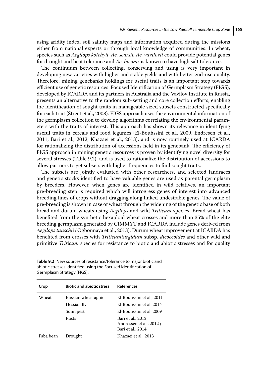using aridity index, soil salinity maps and information acquired during the missions either from national experts or through local knowledge of communities. In wheat, species such as *Aegilops kotchyii, Ae. searsii, Ae. vavilovii* could provide potential genes for drought and heat tolerance and *Ae. biconis* is known to have high salt tolerance.

The continuum between collecting, conserving and using is very important in developing new varieties with higher and stable yields and with better end-use quality. Therefore, mining genebanks holdings for useful traits is an important step towards efficient use of genetic resources. Focused Identification of Germplasm Strategy (FIGS), developed by ICARDA and its partners in Australia and the Vavilov Institute in Russia, presents an alternative to the random sub-setting and core collection efforts, enabling the identification of sought traits in manageable sized subsets constructed specifically for each trait (Street et al., 2008). FIGS approach uses the environmental information of the germplasm collection to develop algorithms correlating the environmental parameters with the traits of interest. This approach has shown its relevance in identifying useful traits in cereals and food legumes (El-Bouhssini et al., 2009, Endresen et al., 2011, Bari et al., 2012, Khazaei et al., 2013), and is now routinely used at ICARDA for rationalizing the distribution of accessions held in its genebank. The efficiency of FIGS approach in mining genetic resources is proven by identifying novel diversity for several stresses (Table 9.2), and is used to rationalize the distribution of accessions to allow partners to get subsets with higher frequencies to find sought traits.

by breeders. However, when genes are identified in wild relatives, an important The subsets are jointly evaluated with other researchers, and selected landraces and genetic stocks identified to have valuable genes are used as parental germplasm pre-breeding step is required which will introgress genes of interest into advanced breeding lines of crops without dragging along linked undesirable genes. The value of pre-breeding is shown in case of wheat through the widening of the genetic base of both bread and durum wheats using *Aegilops* and wild *Triticum* species. Bread wheat has benefited from the synthetic hexaploid wheat crosses and more than 35% of the elite breeding germplasm generated by CIMMYT and ICARDA include genes derived from *Aegilops tauschii (*Ogbonnaya et al., 2013). Durum wheat improvement at ICARDA has benefited from crosses with *Triticumturgidum* subsp. *dicoccoides* and other wild and primitive *Triticum* species for resistance to biotic and abiotic stresses and for quality

| Crop      | <b>Biotic and abiotic stress</b> | <b>References</b>                                                  |
|-----------|----------------------------------|--------------------------------------------------------------------|
| Wheat     | Russian wheat aphid              | El-Bouhssini et al., 2011                                          |
|           | Hessian fly                      | El-Bouhssini et al. 2014                                           |
|           | Sunn pest                        | El-Bouhssini et al. 2009                                           |
|           | Rusts                            | Bari et al., 2012;<br>Andressen et al., 2012;<br>Bari et al., 2014 |
| Faba bean | Drought                          | Khazaei et al., 2013                                               |

**Table 9.2** New sources of resistance/tolerance to major biotic and abiotic stresses identified using the Focused Identification of Germplasm Strategy (FIGS).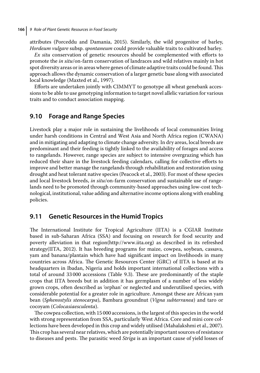attributes (Porceddu and Damania, 2015). Similarly, the wild progenitor of barley, *Hordeum vulgare* subsp. *spontaneum* could provide valuable traits to cultivated barley.

*Ex situ* conservation of genetic resources should be complemented with efforts to promote the *in situ*/on-farm conservation of landraces and wild relatives mainly in hot spot diversity areas or in areas where genes of climate adaptive traits could be found. This approach allows the dynamic conservation of a larger genetic base along with associated local knowledge (Maxted et al., 1997).

Efforts are undertaken jointly with CIMMYT to genotype all wheat genebank accessions to be able to use genotyping information to target novel allelic variation for various traits and to conduct association mapping.

#### **9.10 Forage and Range Species**

lands need to be promoted through community-based approaches using low-cost tech-Livestock play a major role in sustaining the livelihoods of local communities living under harsh conditions in Central and West Asia and North Africa region (CWANA) and in mitigating and adapting to climate change adversity. In dry areas, local breeds are predominant and their feeding is tightly linked to the availability of forages and access to rangelands. However, range species are subject to intensive overgrazing which has reduced their share in the livestock feeding calendars, calling for collective efforts to improve and better manage the rangelands through rehabilitation and restoration using drought and heat tolerant native species (Peacock et al., 2003). For most of these species and local livestock breeds, *in situ*/on-farm conservation and sustainable use of rangenological, institutional, value adding and alternative income options along with enabling policies.

#### **9.11 Genetic Resources in the Humid Tropics**

The International Institute for Tropical Agriculture (IITA) is a CGIAR Institute based in sub-Saharan Africa (SSA) and focusing on research for food security and poverty alleviation in that region(http://www.iita.org) as described in its refreshed strategy(IITA, 2012). It has breeding programs for maize, cowpea, soybean, cassava, yam and banana/plantain which have had significant impact on livelihoods in many countries across Africa. The Genetic Resources Center (GRC) of IITA is based at its headquarters in Ibadan, Nigeria and holds important international collections with a total of around 33 000 accessions (Table 9.3). These are predominantly of the staple crops that IITA breeds but in addition it has germplasm of a number of less widely grown crops, often described as 'orphan' or neglected and underutilised species, with considerable potential for a greater role in agriculture. Amongst these are African yam bean (*Sphenostylis stenocarpa*), Bambara groundnut (*Vigna subterranea*) and taro or cocoyam (*Colocasiaesculenta*).

The cowpea collection, with 15 000 accessions, is the largest of this species in the world with strong representation from SSA, particularly West Africa. Core and mini core collections have been developed in this crop and widely utilised (Mahalakshmi et al., 2007). This crop has several near relatives, which are potentially important sources of resistance to diseases and pests. The parasitic weed *Striga* is an important cause of yield losses of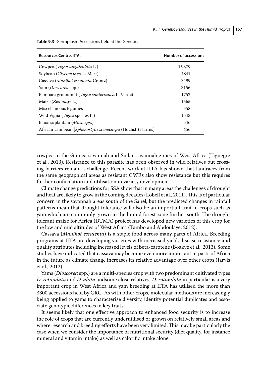| Resources Centre, IITA.                                            | <b>Number of accessions</b> |
|--------------------------------------------------------------------|-----------------------------|
| Cowpea (Vigna unguiculata L.)                                      | 15379                       |
| Soybean ( <i>Glycine max L. Merr</i> )                             | 4841                        |
| Cassava ( <i>Manihot esculenta</i> Crantz)                         | 3499                        |
| Yam ( <i>Dioscorea</i> spp.)                                       | 3156                        |
| Bambara groundnut ( <i>Vigna subterranea</i> L. Verdc)             | 1752                        |
| Maize (Zea mays L.)                                                | 1565                        |
| Miscellaneous legumes                                              | 558                         |
| Wild Vigna ( <i>Vigna</i> species L.)                              | 1543                        |
| Banana/plantain (Musa spp.)                                        | 546                         |
| African yam bean [ <i>Sphenostylis stenocarpa</i> (Hochst.) Harms] | 456                         |

**Table 9.3** Germplasm Accessions held at the Genetic.

cowpea in the Guinea savannah and Sudan savannah zones of West Africa (Tignegre et al., 2013). Resistance to this parasite has been observed in wild relatives but crossing barriers remain a challenge. Recent work at IITA has shown that landraces from the same geographical areas as resistant CWRs also show resistance but this requires further confirmation and utilisation in variety development.

Climate change predictions for SSA show that in many areas the challenges of drought and heat are likely to grow in the coming decades (Lobell et al., 2011).This is of particular concern in the savannah areas south of the Sahel, but the predicted changes in rainfall patterns mean that drought tolerance will also be an important trait in crops such as yam which are commonly grown in the humid forest zone further south. The drought tolerant maize for Africa (DTMA) project has developed new varieties of this crop for the low and mid altitudes of West Africa (Tambo and Abdoulaye, 2012).

> Cassava (*Manihot esculenta*) is a staple food across many parts of Africa. Breeding programs at IITA are developing varieties with increased yield, disease resistance and quality attributes including increased levels of beta-carotene (Boakye et al., 2013). Some studies have indicated that cassava may become even more important in parts of Africa in the future as climate change increases its relative advantage over other crops (Jarvis et al., 2012).

> Yams (*Dioscorea* spp.) are a multi-species crop with two predominant cultivated types *D. rotundata* and *D. alata* andsome close relatives. *D. rotundata* in particular is a very important crop in West Africa and yam breeding at IITA has utilised the more than 3300 accessions held by GRC. As with other crops, molecular methods are increasingly being applied to yams to characterise diversity, identify potential duplicates and associate genotypic differences in key traits.

> It seems likely that one effective approach to enhanced food security is to increase the role of crops that are currently underutilised or grown on relatively small areas and where research and breeding efforts have been very limited. This may be particularly the case when we consider the importance of nutritional security (diet quality, for instance mineral and vitamin intake) as well as calorific intake alone.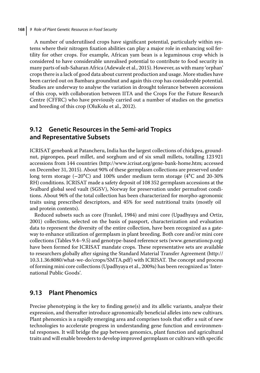#### 168 9 Role of Plant Genetic Resources in Food Security

A number of underutilised crops have significant potential, particularly within systems where their nitrogen fixation abilities can play a major role in enhancing soil fertility for other crops. For example, African yam bean is a leguminous crop which is considered to have considerable unrealised potential to contribute to food security in many parts of sub-Saharan Africa (Adewale et al., 2015). However, as with many 'orphan' crops there is a lack of good data about current production and usage. More studies have been carried out on Bambara groundnut and again this crop has considerable potential. Studies are underway to analyse the variation in drought tolerance between accessions of this crop, with collaboration between IITA and the Crops For the Future Research Centre (CFFRC) who have previously carried out a number of studies on the genetics and breeding of this crop (OluKolu et al., 2012).

#### **9.12 Genetic Resources in the Semi-arid Tropics and Representative Subsets**

❦ ❦ Svalbard global seed vault (SGSV), Norway for preservation under permafrost condi-ICRISAT genebank at Patancheru, India has the largest collections of chickpea, groundnut, pigeonpea, pearl millet, and sorghum and of six small millets, totalling 123 921 accessions from 144 countries (http://www.icrisat.org/gene-bank-home.htm; accessed on December 31, 2015). About 90% of these germplasm collections are preserved under long term storage (−20∘C) and 100% under medium term storage (4∘C and 20-30% RH) conditions. ICRISAT made a safety deposit of 108 352 germplasm accessions at the tions. About 96% of the total collection has been characterized for morpho-agronomic traits using prescribed descriptors, and 45% for seed nutritional traits (mostly oil and protein contents).

> Reduced subsets such as core (Frankel, 1984) and mini core (Upadhyaya and Ortiz, 2001) collections, selected on the basis of passport, characterization and evaluation data to represent the diversity of the entire collection, have been recognized as a gateway to enhance utilization of germplasm in plant breeding. Both core and/or mini core collections (Tables 9.4–9.5) and genotype-based reference sets (www.generationcp.org) have been formed for ICRISAT mandate crops. These representative sets are available to researchers globally after signing the Standard Material Transfer Agreement (http:// 10.3.1.36:8080/what-we-do/crops/SMTA.pdf) with ICRISAT. The concept and process of forming mini core collections (Upadhyaya et al., 2009a) has been recognized as 'International Public Goods'.

#### **9.13 Plant Phenomics**

Precise phenotyping is the key to finding gene(s) and its allelic variants, analyze their expression, and thereafter introduce agronomically beneficial alleles into new cultivars. Plant phenomics is a rapidly emerging area and comprises tools that offer a suit of new technologies to accelerate progress in understanding gene function and environmental responses. It will bridge the gap between genomics, plant function and agricultural traits and will enable breeders to develop improved germplasm or cultivars with specific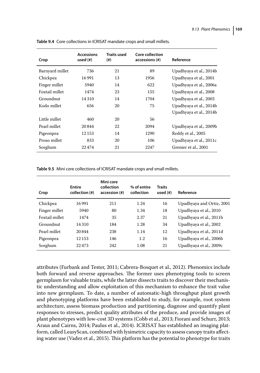| Crop            | <b>Accessions</b><br>used $(#)$ | <b>Traits used</b><br>(#) | <b>Core collection</b><br>accessions (#) | Reference               |
|-----------------|---------------------------------|---------------------------|------------------------------------------|-------------------------|
| Barnyard millet | 736                             | 21                        | 89                                       | Upadhyaya et al., 2014b |
| Chickpea        | 16991                           | 13                        | 1956                                     | Upadhyaya et al., 2001  |
| Finger millet   | 5940                            | 14                        | 622                                      | Upadhyaya et al., 2006a |
| Foxtail millet  | 1474                            | 23                        | 155                                      | Upadhyaya et al., 2008  |
| Groundnut       | 14310                           | 14                        | 1704                                     | Upadhyaya et al., 2003  |
| Kodo millet     | 656                             | 20                        | 75                                       | Upadhyaya et al., 2014b |
|                 |                                 |                           |                                          | Upadhyaya et al., 2014b |
| Little millet   | 460                             | 20                        | 56                                       |                         |
| Pearl millet    | 20844                           | 22                        | 2094                                     | Upadhyaya et al., 2009b |
| Pigeonpea       | 12153                           | 14                        | 1290                                     | Reddy et al., 2005      |
| Proso millet    | 833                             | 20                        | 106                                      | Upadhyaya et al., 2011c |
| Sorghum         | 22474                           | 21                        | 2247                                     | Grenier et al., 2001    |

**Table 9.4** Core collections in ICRISAT mandate crops and small millets.

**Table 9.5** Mini core collections of ICRISAT mandate crops and small millets.

| Crop           | <b>Entire</b><br>collection (#) | Mini core<br>collection<br>accession (#) | % of entire<br>collection | <b>Traits</b><br>used $(\#)$ | Reference                 |
|----------------|---------------------------------|------------------------------------------|---------------------------|------------------------------|---------------------------|
| Chickpea       | 16991                           | 211                                      | 1.24                      | 16                           | Upadhyaya and Ortiz, 2001 |
| Finger millet  | 5940                            | 80                                       | 1.34                      | 18                           | Upadhyaya et al., 2010    |
| Foxtail millet | 1474                            | 35                                       | 2.37                      | 21                           | Upadhyaya et al., 2011b   |
| Groundnut      | 14310                           | 184                                      | 1.28                      | 34                           | Upadhyaya et al., 2002    |
| Pearl millet   | 20844                           | 238                                      | 1.14                      | 12                           | Upadhyaya et al., 2011d   |
| Pigeonpea      | 12153                           | 146                                      | 1.2                       | 16                           | Upadhyaya et al., 2006b   |
| Sorghum        | 22473                           | 242                                      | 1.08                      | 21                           | Upadhyaya et al., 2009c   |

attributes (Furbank and Tester, 2011; Cabrera-Bosquet et al., 2012). Phenomics include both forward and reverse approaches. The former uses phenotyping tools to screen germplasm for valuable traits, while the latter dissects traits to discover their mechanistic understanding and allow exploitation of this mechanism to enhance the trait value into new germplasm. To date, a number of automatic-high throughput plant growth and phenotyping platforms have been established to study, for example, root system architecture, assess biomass production and partitioning, diagnose and quantify plant responses to stresses, predict quality attributes of the produce, and provide images of plant phenotypes with low-cost 3D systems (Cobb et al., 2013; Fiorani and Schurr, 2013; Araus and Cairns, 2014; Paulus et al., 2014). ICRISAT has established an imaging platform, called LeasyScan, combined with lysimetric capacity to assess canopy traits affecting water use (Vadez et al., 2015). This platform has the potential to phenotype for traits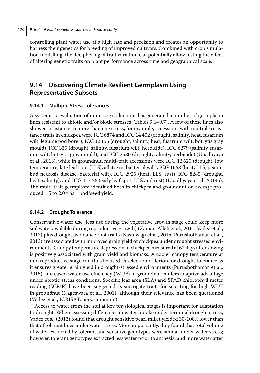#### 170 9 Role of Plant Genetic Resources in Food Security

controlling plant water use at a high rate and precision and creates an opportunity to harness their genetics for breeding of improved cultivars. Combined with crop simulation modelling, the deciphering of trait variation can potentially allow testing the effect of altering genetic traits on plant performance across time and geographical scale.

#### **9.14 Discovering Climate Resilient Germplasm Using Representative Subsets**

#### **9.14.1 Multiple Stress Tolerances**

The multi-trait germplasm identified both in chickpea and groundnut on average pro-A systematic evaluation of mini core collections has generated a number of germplasm lines resistant to abiotic and/or biotic stresses (Tables 9.6–9.7). A few of these lines also showed resistance to more than one stress, for example, accessions with multiple resistance traits in chickpea were ICC 6874 and ICC 14 402 (drought, salinity, heat, fusarium wilt, legume pod borer), ICC 12 155 (drought, salinity, heat, fusarium wilt, botrytis gray mould), ICC 335 (drought, salinity, fusarium wilt, herbicide), ICC 6279 (salinity, fusarium wilt, botrytis gray mould), and ICC 2580 (drought, salinity, herbicide) (Upadhyaya et al., 2013), while in groundnut, multi-trait accessions were ICG 12 625 (drought, low temperature, late leaf spot (LLS), aflatoxin, bacterial wilt), ICG 1668 (heat, LLS, peanut bud necrosis disease, bacterial wilt), ICG 2925 (heat, LLS, rust), ICG 8285 (drought, heat, salinity), and ICG 11 426 (early leaf spot, LLS and rust) (Upadhyaya et al., 2014a). duced 1.5 to 2.0 t ha<sup>-1</sup> pod/seed yield.

#### **9.14.2 Drought Tolerance**

Conservative water use (less use during the vegetative growth stage could keep more soil water available during reproductive growth) (Zaman-Allah et al., 2011; Vadez et al., 2013) plus drought avoidance root traits (Kashiwagi et al., 2015; Purushothaman et al., 2013) are associated with improved grain yield of chickpea under drought stressed environments. Canopy temperature depression in chickpea measured at 62 days after sowing is positively associated with grain yield and biomass. A cooler canopy temperature at mid reproductive stage can thus be used as selection criterion for drought tolerance as it ensures greater grain yield in drought-stressed environments (Purushothaman et al., 2015). Increased water use efficiency (WUE) in groundnut confers adaptive advantage under abiotic stress conditions. Specific leaf area (SLA) and SPAD chlorophyll meter reading (SCMR) have been suggested as surrogate traits for selecting for high WUE in groundnut (Nageswara et al., 2001), although their relevance has been questioned (Vadez et al., ICRISAT, pers. commun.).

Access to water from the soil at key physiological stages is important for adaptation to drought. When assessing differences in water uptake under terminal drought stress, Vadez et al. (2013) found that drought sensitive pearl millet yielded 30-100% lower than that of tolerant lines under water stress. More importantly, they found that total volume of water extracted by tolerant and sensitive genotypes were similar under water stress; however, tolerant genotypes extracted less water prior to anthesis, and more water after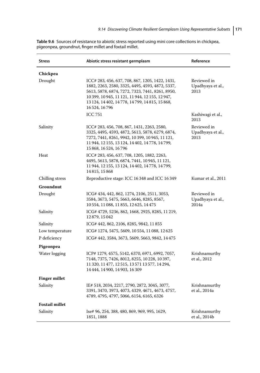| <b>Stress</b>         | Abiotic stress resistant germplasm                                                                                                                                                                                                                                          | Reference                                 |
|-----------------------|-----------------------------------------------------------------------------------------------------------------------------------------------------------------------------------------------------------------------------------------------------------------------------|-------------------------------------------|
| Chickpea              |                                                                                                                                                                                                                                                                             |                                           |
| Drought               | ICC# 283, 456, 637, 708, 867, 1205, 1422, 1431,<br>1882, 2263, 2580, 3325, 4495, 4593, 4872, 5337,<br>5613, 5878, 6874, 7272, 7323, 7441, 8261, 8950,<br>10 399, 10 945, 11 121, 11 944, 12 155, 12 947,<br>13 124, 14 402, 14 778, 14 799, 14 815, 15 868,<br>16524, 16796 | Reviewed in<br>Upadhyaya et al.,<br>2013  |
|                       | <b>ICC 751</b>                                                                                                                                                                                                                                                              | Kashiwagi et al.,<br>2013                 |
| Salinity              | ICC# 283, 456, 708, 867, 1431, 2263, 2580,<br>3325, 4495, 4593, 4872, 5613, 5878, 6279, 6874,<br>7272, 7441, 8261, 9942, 10 399, 10 945, 11 121,<br>11 944, 12 155, 13 124, 14 402, 14 778, 14 799,<br>15 868, 16 524, 16 796                                               | Reviewed in<br>Upadhyaya et al.,<br>2013  |
| Heat                  | ICC# 283, 456, 637, 708, 1205, 1882, 2263,<br>4495, 5613, 5878, 6874, 7441, 10945, 11121,<br>11 944, 12 155, 13 124, 14 402, 14 778, 14 799,<br>14815, 15868                                                                                                                |                                           |
| Chilling stress       | Reproductive stage: ICC 16348 and ICC 16349                                                                                                                                                                                                                                 | Kumar et al., 2011                        |
| Groundnut             |                                                                                                                                                                                                                                                                             |                                           |
| Drought               | ICG# 434, 442, 862, 1274, 2106, 2511, 3053,<br>3584, 3673, 5475, 5663, 6646, 8285, 8567,<br>10 554, 11 088, 11 855, 12 625, 14 475                                                                                                                                          | Reviewed in<br>Upadhyaya et al.,<br>2014a |
| Salinity              | ICG# 4729, 5236, 862, 1668, 2925, 8285, 11 219,<br>12879, 15042                                                                                                                                                                                                             |                                           |
| Salinity              | ICG# 442, 862, 2106, 8285, 9842, 11855                                                                                                                                                                                                                                      |                                           |
| Low temperature       | ICG# 1274, 5475, 5609, 10554, 11088, 12625                                                                                                                                                                                                                                  |                                           |
| P deficiency          | ICG# 442, 3584, 3673, 5609, 5663, 9842, 14475                                                                                                                                                                                                                               |                                           |
| Pigeonpea             |                                                                                                                                                                                                                                                                             |                                           |
| Water logging         | ICP# 1279, 4575, 5142, 6370, 6971, 6992, 7057,<br>7148, 7375, 7426, 8012, 8255, 10228, 10397,<br>11 320, 11 477, 12 515, 13 571 13 577, 14 294,<br>14 444, 14 900, 14 903, 16 309                                                                                           | Krishnamurthy<br>et al., 2012             |
| <b>Finger millet</b>  |                                                                                                                                                                                                                                                                             |                                           |
| Salinity              | IE# 518, 2034, 2217, 2790, 2872, 3045, 3077,<br>3391, 3470, 3973, 4073, 4329, 4671, 4673, 4757,<br>4789, 4795, 4797, 5066, 6154, 6165, 6326                                                                                                                                 | Krishnamurthy<br>et al., 2014a            |
| <b>Foxtail millet</b> |                                                                                                                                                                                                                                                                             |                                           |
| Salinity              | Ise# 96, 254, 388, 480, 869, 969, 995, 1629,<br>1851, 1888                                                                                                                                                                                                                  | Krishnamurthy<br>et al., 2014b            |

**Table 9.6** Sources of resistance to abiotic stress reported using mini core collections in chickpea, pigeonpea, groundnut, finger millet and foxtail millet.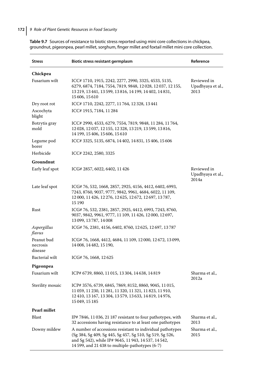| <b>Stress</b>                     | Biotic stress resistant germplasm                                                                                                                                                                                                | Reference                                 |
|-----------------------------------|----------------------------------------------------------------------------------------------------------------------------------------------------------------------------------------------------------------------------------|-------------------------------------------|
| Chickpea                          |                                                                                                                                                                                                                                  |                                           |
| Fusarium wilt                     | ICC# 1710, 1915, 2242, 2277, 2990, 3325, 4533, 5135,<br>6279, 6874, 7184, 7554, 7819, 9848, 12028, 12037, 12155,<br>13 219, 13 441, 13 599, 13 816, 14 199, 14 402, 14 831,<br>15 606, 15 610                                    | Reviewed in<br>Upadhyaya et al.,<br>2013  |
| Dry root rot                      | ICC# 1710, 2242, 2277, 11764, 12328, 13441                                                                                                                                                                                       |                                           |
| Ascochyta<br>blight               | ICC# 1915, 7184, 11 284                                                                                                                                                                                                          |                                           |
| Botrytis gray<br>mold             | ICC# 2990, 4533, 6279, 7554, 7819, 9848, 11 284, 11 764,<br>12028, 12037, 12155, 12328, 13219, 13599, 13816,<br>14 199, 15 406, 15 606, 15 610                                                                                   |                                           |
| Legume pod<br>borer               | ICC# 3325, 5135, 6874, 14 402, 14 831, 15 406, 15 606                                                                                                                                                                            |                                           |
| Herbicide                         | ICC# 2242, 2580, 3325                                                                                                                                                                                                            |                                           |
| Groundnut                         |                                                                                                                                                                                                                                  |                                           |
| Early leaf spot                   | ICG# 2857, 6022, 6402, 11426                                                                                                                                                                                                     | Reviewed in<br>Upadhyaya et al.,<br>2014a |
| Late leaf spot                    | ICG#76, 532, 1668, 2857, 2925, 4156, 4412, 6402, 6993,<br>7243, 8760, 9037, 9777, 9842, 9961, 4684, 6022, 11 109,<br>12 000, 11 426, 12 276, 12 625, 12 672, 12 697, 13 787,<br>15 1 9 0                                         |                                           |
| Rust                              | ICG#76, 532, 2381, 2857, 2925, 4412, 6993, 7243, 8760,<br>9037, 9842, 9961, 9777, 11 109, 11 426, 12 000, 12 697,<br>13 099, 13 787, 14 008                                                                                      |                                           |
| Aspergillus<br>flavus             | ICG#76, 2381, 4156, 6402, 8760, 12625, 12697, 13787                                                                                                                                                                              |                                           |
| Peanut bud<br>necrosis<br>disease | ICG#76, 1668, 4412, 4684, 11 109, 12 000, 12 672, 13 099,<br>14 008, 14 482, 15 190,                                                                                                                                             |                                           |
| Bacterial wilt                    | ICG#76, 1668, 12625                                                                                                                                                                                                              |                                           |
| Pigeonpea                         |                                                                                                                                                                                                                                  |                                           |
| Fusarium wilt                     | ICP# 6739, 8860, 11015, 13304, 14638, 14819                                                                                                                                                                                      | Sharma et al.,<br>2012a                   |
| Sterility mosaic                  | ICP# 3576, 6739, 6845, 7869, 8152, 8860, 9045, 11015,<br>11 059, 11 230, 11 281, 11 320, 11 321, 11 823, 11 910,<br>12 410, 13 167, 13 304, 13 579, 13 633, 14 819, 14 976,<br>15 049, 15 185                                    |                                           |
| Pearl millet                      |                                                                                                                                                                                                                                  |                                           |
| Blast                             | IP#7846, 11036, 21187 resistant to four pathotypes, with<br>32 accessions having resistance to at least one pathotypes                                                                                                           | Sharma et al.,<br>2013                    |
| Downy mildew                      | A number of accessions resistant to individual pathotypes<br>(Sg 384, Sg 409, Sg 445, Sg 457, Sg 510, Sg 519, Sg 526,<br>and Sg 542), while IP# 9645, 11 943, 14 537, 14 542,<br>14 599, and 21 438 to multiple-pathotypes (6-7) | Sharma et al.,<br>2015                    |

**Table 9.7** Sources of resistance to biotic stress reported using mini core collections in chickpea, groundnut, pigeonpea, pearl millet, sorghum, finger millet and foxtail millet mini core collection.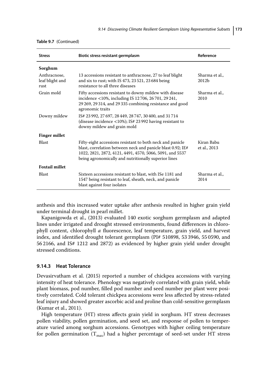| <b>Stress</b>                           | Biotic stress resistant germplasm                                                                                                                                                                                                            | Reference                  |
|-----------------------------------------|----------------------------------------------------------------------------------------------------------------------------------------------------------------------------------------------------------------------------------------------|----------------------------|
| Sorghum                                 |                                                                                                                                                                                                                                              |                            |
| Anthracnose,<br>leaf blight and<br>rust | 13 accessions resistant to anthracnose, 27 to leaf blight<br>and six to rust; with IS 473, 23 521, 23 684 being<br>resistance to all three diseases                                                                                          | Sharma et al.,<br>2012b    |
| Grain mold                              | Fifty accessions resistant to downy mildew with disease<br>incidence <10%, including IS 12706, 26701, 29241,<br>29 269, 29 314, and 29 335 combining resistance and good<br>agronomic traits                                                 | Sharma et al.,<br>2010     |
| Downy mildew                            | IS# 23 992, 27 697, 28 449, 28 747, 30 400, and 31 714<br>(disease incidence $\langle 10\% \rangle$ ; IS# 23 992 having resistant to<br>downy mildew and grain mold                                                                          |                            |
| <b>Finger millet</b>                    |                                                                                                                                                                                                                                              |                            |
| Blast                                   | Fifty-eight accessions resistant to both neck and panicle<br>blast, correlation between neck and panicle blast 0.92; IE#<br>1022, 2821, 2872, 4121, 4491, 4570, 5066, 5091, and 5537<br>being agronomically and nutritionally superior lines | Kiran Babu<br>et al., 2013 |
| <b>Foxtail millet</b>                   |                                                                                                                                                                                                                                              |                            |
| Blast                                   | Sixteen accessions resistant to blast, with ISe 1181 and<br>1547 being resistant to leaf, sheath, neck, and panicle<br>blast against four isolates                                                                                           | Sharma et al.,<br>2014     |

#### **Table 9.7** (Continued)

anthesis and this increased water uptake after anthesis resulted in higher grain yield under terminal drought in pearl millet.

Kapanigowda et al., (2013) evaluated 140 exotic sorghum germplasm and adapted lines under irrigated and drought stressed environments, found differences in chlorophyll content, chlorophyll *a* fluorescence, leaf temperature, grain yield, and harvest index, and identified drought tolerant germplasm (PI# 510898, 53 3946, 55 0590, and 56 2166, and IS# 1212 and 2872) as evidenced by higher grain yield under drought stressed conditions.

#### **9.14.3 Heat Tolerance**

Devasirvatham et al. (2015) reported a number of chickpea accessions with varying intensity of heat tolerance. Phenology was negatively correlated with grain yield, while plant biomass, pod number, filled pod number and seed number per plant were positively correlated. Cold tolerant chickpea accessions were less affected by stress-related leaf injury and showed greater ascorbic acid and proline than cold-sensitive germplasm (Kumar et al., 2011).

High temperature (HT) stress affects grain yield in sorghum. HT stress decreases pollen viability, pollen germination, and seed set, and response of pollen to temperature varied among sorghum accessions. Genotypes with higher ceiling temperature for pollen germination  $(T_{max})$  had a higher percentage of seed-set under HT stress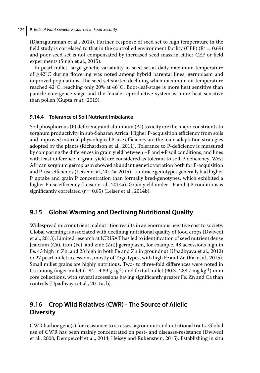(Djanaguiraman et al., 2014). Further, response of seed set to high temperature in the field study is correlated to that in the controlled environment facility (CEF) ( $R^2 = 0.69$ ) and poor seed set is not compensated by increased seed mass in either CEF or field experiments (Singh et al., 2015).

In pearl millet, large genetic variability in seed set at daily maximum temperature of ≥42∘C during flowering was noted among hybrid parental lines, germplasm and improved populations. The seed set started declining when maximum air temperature reached 42∘C, reaching only 20% at 46∘C. Boot-leaf-stage is more heat sensitive than panicle-emergence stage and the female reproductive system is more heat sensitive than pollen (Gupta *et al*., 2015).

#### **9.14.4 Tolerance of Soil Nutrient Imbalance**

❦ ❦ higher P use efficiency (Leiser et al., 2014a). Grain yield under –P and +P conditions is Soil phosphorous (P) deficiency and aluminum (Al) toxicity are the major constraints to sorghum productivity in sub-Saharan Africa. Higher P-acquisition efficiency from soils and improved internal physiological P-use efficiency are the main adaptation strategies adopted by the plants (Richardson et al., 2011). Tolerance to P-deficiency is measured by comparing the differences in grain yield between –P and +P soil conditions, and lines with least difference in grain yield are considered as tolerant to soil-P deficiency. West African sorghum germplasm showed abundant genetic variation both for P-acquisition and P-use efficiency (Leiser et al., 2014a, 2015). Landrace genotypes generally had higher P uptake and grain P concentration than formally bred-genotypes, which exhibited a significantly correlated  $(r = 0.85)$  (Leiser et al., 2014b).

#### **9.15 Global Warming and Declining Nutritional Quality**

Widespread micronutrient malnutrition results in an enormous negative cost to society. Global warming is associated with declining nutritional quality of food crops (Dwivedi et al., 2013). Limited research at ICRISAT has led to identification of seed nutrient dense  $[calcium (Ca), iron (Fe), and zinc (Zn)] germplasm, for example, 48 accessions high in$ Fe, 43 high in Zn, and 23 high in both Fe and Zn in groundnut (Upadhyaya et al., 2012) or 27 pearl millet accessions, mostly of Togo types, with high Fe and Zn (Rai et al., 2015). Small millet grains are highly nutritious. Two- to three-fold differences were noted in Ca among finger millet  $(1.84 - 4.89$  g kg<sup>-1</sup>) and foxtail millet  $(90.3 - 288.7$  mg kg<sup>-1</sup>) mini core collections, with several accessions having significantly greater Fe, Zn and Ca than controls (Upadhyaya et al., 2011a, b).

#### **9.16 Crop Wild Relatives (CWR) - The Source of Allelic Diversity**

CWR harbor gene(s) for resistance to stresses, agronomic and nutritional traits. Global use of CWR has been mainly concentrated on pest- and diseases-resistance (Dwivedi et al., 2008; Dempewolf et al., 2014; Heisey and Rubenstein, 2015). Establishing in situ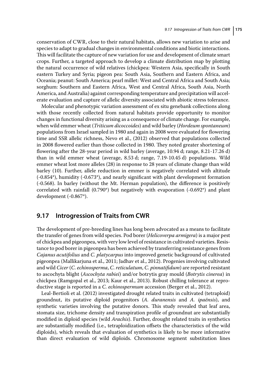conservation of CWR, close to their natural habitats, allows new variation to arise and species to adapt to gradual changes in environmental conditions and biotic interactions. This will facilitate the capture of new variation for use and development of climate smart crops. Further, a targeted approach to develop a climate distribution map by plotting the natural occurrence of wild relatives (chickpea: Western Asia, specifically in South eastern Turkey and Syria; pigeon pea: South Asia, Southern and Eastern Africa, and Oceania; peanut: South America; pearl millet: West and Central Africa and South Asia; sorghum: Southern and Eastern Africa, West and Central Africa, South Asia, North America, and Australia) against corresponding temperature and precipitation will accelerate evaluation and capture of allelic diversity associated with abiotic stress tolerance.

 $(5.506)$ . In bariey (without the Mt. Herman population), the difference is positively correlated with rainfall  $(0.790)$  but negatively with evaporation  $(-0.692)$  and plant Molecular and phenotypic variation assessment of ex situ genebank collections along with those recently collected from natural habitats provide opportunity to monitor changes in functional diversity arising as a consequence of climate change. For example, when wild emmer wheat (*Triticum dicoccoides*) and wild barley (*Hordeum spontaneum*) populations from Israel sampled in 1980 and again in 2008 were evaluated for flowering time and SSR allelic richness, Nevo et al., (2012) observed that populations collected in 2008 flowered earlier than those collected in 1980. They noted greater shortening of flowering after the 28-year period in wild barley (average, 10.94 d; range, 8.21-17.26 d) than in wild emmer wheat (average, 8.53 d; range, 7.19-10.45 d) populations. Wild emmer wheat lost more alleles (28) in response to 28 years of climate change than wild barley (10). Further, allele reduction in emmer is negatively correlated with altitude (-0.854\*), humidity (-0.673\*), and nearly significant with plant development formation (-0.568). In barley (without the Mt. Herman population), the difference is positively development (-0.867\*).

#### **9.17 Introgression of Traits from CWR**

The development of pre-breeding lines has long been advocated as a means to facilitate the transfer of genes from wild species. Pod borer (*Helicoverpa armigera*) is a major pest of chickpea and pigeonpea, with very low level of resistance in cultivated varieties. Resistance to pod borer in pigeonpea has been achieved by transferring resistance genes from *Cajanus acutifolius* and *C. platycarpus* into improved genetic background of cultivated pigeonpea (Mallikarjuna et al., 2011; Jadhav et al., 2012). Progenies involving cultivated and wild *Cicer* (*C. echinosperma*, *C. reticulatum*, *C. pinnatifidum*) are reported resistant to ascochyta blight (*Ascochyta rabiei*) and/or botrytis gray mould (*Botrytis cinerea*) in chickpea (Ramgopal et al., 2013; Kaur et al., 2013). Robust chilling tolerance at reproductive stage is reported in a *C. echinospermum* accession (Berger et al., 2012).

Leal-Bertioli et al. (2012) investigated drought related traits in cultivated (tetraploid) groundnut, its putative diploid progenitors (*A. duranensis* and *A. ipaënsis*), and synthetic varieties involving the putative donors. This study revealed that leaf area, stomata size, trichome density and transpiration profile of groundnut are substantially modified in diploid species (wild *Arachis*). Further, drought related traits in synthetics are substantially modified (i.e., tetraploidization offsets the characteristics of the wild diploids), which reveals that evaluation of synthetics is likely to be more informative than direct evaluation of wild diploids. Chromosome segment substitution lines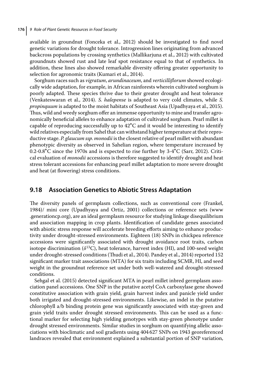#### 176 9 Role of Plant Genetic Resources in Food Security

available in groundnut (Fonceka et al., 2012) should be investigated to find novel genetic variations for drought tolerance. Introgression lines originating from advanced backcross populations by crossing synthetics (Mallikarjuna et al., 2012) with cultivated groundnuts showed rust and late leaf spot resistance equal to that of synthetics. In addition, these lines also showed remarkable diversity offering greater opportunity to selection for agronomic traits (Kumari et al., 2014).

Sorghum races such as *vigratum*, *arundinaceum*, and *verticilliflorum* showed ecologically wide adaptation, for example, in African rainforests wherein cultivated sorghum is poorly adapted. These species thrive due to their greater drought and heat tolerance (Venkateswaran et al., 2014). *S. halepense* is adapted to very cold climates, while *S. propinquum* is adapted to the moist habitats of Southeast Asia (Upadhyaya et al., 2015). Thus, wild and weedy sorghum offer an immense opportunity to mine and transfer agronomically beneficial alleles to enhance adaptation of cultivated sorghum. Pearl millet is capable of reproducing successfully up to 42∘C and it would be interesting to identify wild relatives especially from Sahel that can withstand higher temperature at their reproductive stage. *P. glaucum ssp. monodii* is the closest relative of pearl millet with abundant phenotypic diversity as observed in Sahelian region, where temperature increased by 0.2-0.8∘C since the 1970s and is expected to rise further by 3-4∘C (Sarr, 2012). Critical evaluation of *monodii* accessions is therefore suggested to identify drought and heat stress tolerant accessions for enhancing pearl millet adaptation to more severe drought and heat (at flowering) stress conditions.

### ❦ ❦ **9.18 Association Genetics to Abiotic Stress Adaptation**

The diversity panels of germplasm collections, such as conventional core (Frankel, 1984)/ mini core (Upadhyaya and Ortiz, 2001) collections or reference sets (www .generationcp.org), are an ideal germplasm resource for studying linkage disequilibrium and association mapping in crop plants. Identification of candidate genes associated with abiotic stress response will accelerate breeding efforts aiming to enhance productivity under drought-stressed environments. Eighteen (18) SNPs in chickpea reference accessions were significantly associated with drought avoidance root traits, carbon isotope discrimination ( $\delta^{13}$ C), heat tolerance, harvest index (HI), and 100-seed weight under drought-stressed conditions (Thudi et al., 2014). Pandey et al., 2014) reported 152 significant marker trait associations (MTA) for six traits including SCMR, HI, and seed weight in the groundnut reference set under both well-watered and drought-stressed conditions.

Sehgal et al. (2015) detected significant MTA in pearl millet inbred germplasm association panel accessions. One SNP in the putative acetyl CoA carboxylase gene showed constitutive association with grain yield, grain harvest index and panicle yield under both irrigated and drought-stressed environments. Likewise, an indel in the putative chlorophyll a/b binding protein gene was significantly associated with stay-green and grain yield traits under drought stressed environments. This can be used as a functional marker for selecting high yielding genotypes with stay-green phenotype under drought stressed environments. Similar studies in sorghum on quantifying allelic associations with bioclimatic and soil gradients using 404 627 SNPs on 1943 georeferenced landraces revealed that environment explained a substantial portion of SNP variation,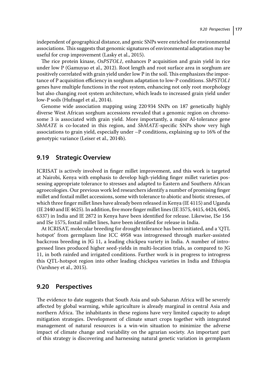independent of geographical distance, and genic SNPs were enriched for environmental associations. This suggests that genomic signatures of environmental adaptation may be useful for crop improvement (Lasky et al., 2015).

The rice protein kinase, *OsPSTOL1*, enhances P acquisition and grain yield in rice under low P (Gamuyao et al., 2012). Root length and root surface area in sorghum are positively correlated with grain yield under low P in the soil. This emphasizes the importance of P acquisition efficiency in sorghum adaptation to low-P conditions. *SbPSTOL1* genes have multiple functions in the root system, enhancing not only root morphology but also changing root system architecture, which leads to increased grain yield under low-P soils (Hufnagel et al., 2014).

Genome wide association mapping using 220 934 SNPs on 187 genetically highly diverse West African sorghum accessions revealed that a genomic region on chromosome 3 is associated with grain yield. More importantly, a major Al-tolerance gene *SbMATE* is co-located in this region, and *SbMATE*-specific SNPs show very high associations to grain yield, especially under –P conditions, explaining up to 16% of the genotypic variance (Leiser et al., 2014b).

#### **9.19 Strategic Overview**

sessing appropriate tolerance to stresses and adapted to Eastern and Southern African ICRISAT is actively involved in finger millet improvement, and this work is targeted at Nairobi, Kenya with emphasis to develop high-yielding finger millet varieties posagroecologies. Our previous work led researchers identify a number of promising finger millet and foxtail millet accessions, some with tolerance to abiotic and biotic stresses, of which three finger millet lines have already been released in Kenya (IE 4115) and Uganda (IE 2440 and IE 4625). In addition, five more finger millet lines (IE 3575, 4415, 4424, 6045, 6337) in India and IE 2872 in Kenya have been identified for release. Likewise, ISe 156 and ISe 1575, foxtail millet lines, have been identified for release in India.

> At ICRISAT, molecular breeding for drought tolerance has been initiated, and a 'QTL hotspot' from germplasm line ICC 4958 was introgressed through marker-assisted backcross breeding in JG 11, a leading chickpea variety in India. A number of introgressed lines produced higher seed-yields in multi-location trials, as compared to JG 11, in both rainfed and irrigated conditions. Further work is in progress to introgress this QTL-hotspot region into other leading chickpea varieties in India and Ethiopia (Varshney et al., 2015).

#### **9.20 Perspectives**

The evidence to date suggests that South Asia and sub-Saharan Africa will be severely affected by global warming, while agriculture is already marginal in central Asia and northern Africa. The inhabitants in these regions have very limited capacity to adopt mitigation strategies. Development of climate smart crops together with integrated management of natural resources is a win-win situation to minimize the adverse impact of climate change and variability on the agrarian society. An important part of this strategy is discovering and harnessing natural genetic variation in germplasm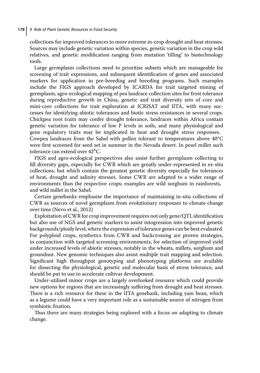collections for improved tolerances to more extreme in-crop drought and heat stresses. Sources may include genetic variation within species, genetic variation in the crop wild relatives, and genetic modification ranging from mutation 'tilling' to biotechnology tools.

Large germplasm collections need to prioritise subsets which are manageable for screening of trait expressions, and subsequent identification of genes and associated markers for application in pre-breeding and breeding programs. Such examples include the FIGS approach developed by ICARDA for trait targeted mining of germplasm, agro-ecological mapping of pea landrace collection sites for frost tolerance during reproductive growth in China, genetic and trait diversity sets of core and mini-core collections for trait exploration at ICRISAT and IITA, with many successes for identifying abiotic tolerances and biotic stress resistances in several crops. Chickpea root traits may confer drought tolerance, landraces within Africa contain genetic variation for tolerance of low P levels in soils, and many physiological and gene regulatory traits may be implicated in heat and drought stress responses. Cowpea landraces from the Sahel with pollen tolerant to temperatures above  $40^{\circ}$ C were first screened for seed set in summer in the Nevada desert. In pearl millet such tolerance can extend over 42∘C.

environments than the respective crops; examples are wild sorghum in rainforests, FIGS and agro-ecological perspectives also assist further germplasm collecting to fill diversity gaps, especially for CWR which are greatly under-represented in ex-situ collections, but which contain the greatest genetic diversity especially for tolerances of heat, drought and salinity stresses. Some CWR are adapted to a wider range of and wild millet in the Sahel.

> Certain genebanks emphasise the importance of maintaining in-situ collections of CWR as sources of novel germplasm from evolutionary responses to climate change over time (Nevo et al., 2012)

> Exploitation of CWR for crop improvement requires not only gene/QTL identification but also use of NGS and genetic markers to assist intogression into improved genetic backgrounds/ploidy level, where the expression of tolerance genes can be best evaluated. For polyploid crops, synthetics from CWR and backcrossing are proven strategies, in conjunction with targeted screening environments, for selection of improved yield under increased levels of abiotic stresses, notably in the wheats, millets, sorghum and groundnut. New genomic techniques also assist multiple trait mapping and selection. Significant high throughput genotyping and phenotyping platforms are available for dissecting the physiological, genetic and molecular basis of stress tolerance, and should be put to use to accelerate cultivar development.

> Under-utilised minor crops are a largely overlooked resource which could provide new options for regions that are increasingly suffering from drought and heat stresses. There is a rich resource for these in the IITA genebank, including yam bean, which as a legume could have a very important role as a sustainable source of nitrogen from symbiotic fixation.

> Thus there are many strategies being explored with a focus on adapting to climate change.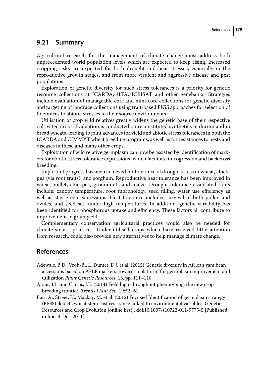#### **9.21 Summary**

Agricultural research for the management of climate change must address both unprecedented world population levels which are expected to keep rising. Increased cropping risks are expected for both drought and heat stresses, especially in the reproductive growth stages, and from more virulent and aggressive disease and pest populations.

Exploration of genetic diversity for such stress tolerances is a priority for genetic resource collections at ICARDA, IITA, ICRISAT and other genebanks. Strategies include evaluation of manageable core and mini-core collections for genetic diversity and targeting of landrace collections using trait-based FIGS approaches for selection of tolerances to abiotic stresses in their source environments.

Utilisation of crop wild relatives greatly widens the genetic base of their respective cultivated crops. Evaluation is conducted on reconstituted synthetics in durum and in bread wheats, leading to joint advances for yield and abiotic stress tolerances in both the ICARDA and CIMMYT wheat breeding programs, as well as for resistances to pests and diseases in these and many other crops.

Exploitation of wild relative germplasm can now be assisted by identification of markers for abiotic stress tolerance expressions, which facilitate introgression and backcross breeding.

wheat, millet, chickpea, groundnuts and maize. Drought tolerance associated traits Important progress has been achieved for tolerance of drought stress in wheat, chickpea (via root traits), and sorghum. Reproductive heat tolerance has been improved in include: canopy temperature, root morphology, seed filling, water use efficiency as well as stay green expressions. Heat tolerance includes survival of both pollen and ovules, and seed set, under high temperatures. In addition, genetic variability has been identified for phosphorous uptake and efficiency. These factors all contribute to improvement in grain yield.

> Complementary conservation agricultural practices would also be needed for climate-smart- practices. Under-utilised crops which have received little attention from research, could also provide new alternatives to help manage climate change.

#### **References**

- Adewale, B.D., Vroh-Bi, I., Dumet, D.J. et al. (2015) Genetic diversity in African yam bean accessions based on AFLP markers: towards a platform for germplasm improvement and utilization *Plant Genetic Resources*, 13, pp. 111–118.
- Araus, J.L. and Cairns, J.E. (2014) Field high-throughput phenotyping: the new crop breeding frontier. *Trends Plant Sci.*, 19:52–61.
- Bari, A., Street, K., Mackay, M. et al. (2012) Focused Identification of germplasm strategy (FIGS) detects wheat stem rust resistance linked to environmental variables. Genetic Resources and Crop Evolution [online first]. doi:10.1007/s10722-011-9775-5 [Published online: 3-Dec-2011].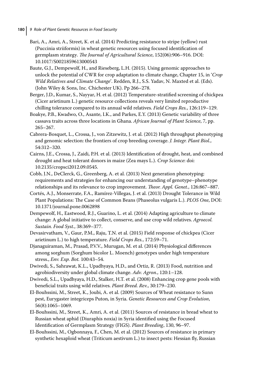- Bari, A., Amri, A., Street, K. et al. (2014) Predicting resistance to stripe (yellow) rust (Puccinia striiformis) in wheat genetic resources using focused identification of germplasm strategy. *The Journal of Agricultural Science*, 152(06):906–916. DOI: 10.1017/S0021859613000543
- Baute, G.J., Dempewolf, H., and Rieseberg, L.H. (2015). Using genomic approaches to unlock the potential of CWR for crop adaptation to climate change, Chapter 15, in '*Crop Wild Relatives and Climate Change*'. Redden, R.J., S.S. Yadav, N. Maxted et al. (Eds). (John Wiley & Sons, Inc. Chichester UK). Pp 266–278.
- Berger, J.D., Kumar, S., Nayyar, H. et al. (2012) Temperature-stratified screening of chickpea (Cicer arietinum L.) genetic resource collections reveals very limited reproductive chilling tolerance compared to its annual wild relatives. *Field Crops Res.*, 126:119–129.
- Boakye, P.B., Kwadwo, O., Asante, I.K., and Parkes, E.Y. (2013) Genetic variability of three cassava traits across three locations in Ghana. *African Journal of Plant Science*, 7, pp. 265–267.
- Cabrera-Bosquet, L., Crossa, J., von Zitzewitz, J. et al. (2012) High throughput phenotyping and genomic selection: the frontiers of crop breeding coverage. *J. Integr. Plant Biol.*, 54:312–320.
- Cairns, J.E., Crossa, J., Zaidi, P.H. et al. (2013) Identification of drought, heat, and combined drought and heat tolerant donors in maize (Zea mays L.). *Crop Science*: doi: 10.2135/cropsci2012.09.0545.
- ❦ ❦ relationships and its relevance to crop improvement. *Theor. Appl. Genet.*, 126:867–887. Cobb, J.N., DeClerck, G., Greenberg, A. et al. (2013) Next generation phenotyping: requirements and strategies for enhancing our understanding of genotype–phenotype
	- Cortés, A.J., Monserrate, F.A., Ramírez-Villegas, J. et al. (2013) Drought Tolerance in Wild Plant Populations: The Case of Common Beans (Phaseolus vulgaris L.). *PLOS One*, DOI: 10.1371/journal.pone.0062898
	- Dempewolf, H., Eastwood, R.J., Guarino, L. et al. (2014) Adapting agriculture to climate change: A global initiative to collect, conserve, and use crop wild relatives. *Agroecol. Sustain. Food Syst.*, 38:369–377.
	- Devasirvatham, V., Gaur, P.M., Raju, T.N. et al. (2015) Field response of chickpea (Cicer arietinum L.) to high temperature. *Field Crops Res.*, 172:59–71.
	- Djanaguiraman, M., Prasad, P.V.V., Murugan, M. et al. (2014) Physiological differences among sorghum (Sorghum bicolor L. Moench) genotypes under high temperature stress., *Env. Exp. Bot.* 100:43–54.
	- Dwivedi, S., Sahrawat, K.L., Upadhyaya, H.D., and Ortiz, R. (2013) Food, nutrition and agrobiodiversity under global climate change. *Adv. Agron.*, 120:1–128.
	- Dwivedi, S.L., Upadhyaya, H.D., Stalker, H.T. et al. (2008) Enhancing crop gene pools with beneficial traits using wild relatives. *Plant Breed. Rev.*, 30:179–230.
	- El-Bouhssini, M., Street, K., Joubi, A. et al. (2009) Sources of Wheat resistance to Sunn pest, Eurygaster integriceps Puton, in Syria. *Genetic Resources and Crop Evolution*, 56(8):1065–1069.
	- El-Bouhssini, M., Street, K., Amri, A. et al. (2011) Sources of resistance in bread wheat to Russian wheat aphid (Diuraphis noxia) in Syria identified using the Focused Identification of Germplasm Strategy (FIGS). *Plant Breeding*, 130, 96–97.
	- El-Bouhssini, M., Ogbonnaya, F., Chen, M. et al. (2012) Sources of resistance in primary synthetic hexaploid wheat (Triticum aestivum L.) to insect pests: Hessian fly, Russian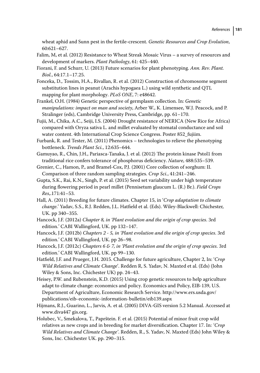wheat aphid and Sunn pest in the fertile-crescent. *Genetic Resources and Crop Evolution*, 60:621–627.

- Falim, M, et al. (2012) Resistance to Wheat Streak Mosaic Virus a survey of resources and development of markers. *Plant Pathology*, 61: 425–440.
- Fiorani, F. and Schurr, U. (2013) Future scenarios for plant phenotyping. *Ann. Rev. Plant. Biol.*, 64:17.1–17.25.
- Fonceka, D., Tossim, H.A., Rivallan, R. et al. (2012) Construction of chromosome segment substitution lines in peanut (Arachis hypogaea L.) using wild synthetic and QTL mapping for plant morphology. *PLoS ONE*, 7: e48642.
- Frankel, O.H. (1984) Genetic perspective of germplasm collection. In: *Genetic manipulations: impact on man and society*, Arber W., K. Limensee, W.J. Peacock, and P. Stralinger (eds), Cambridge University Press, Cambridge, pp. 61–170.
- Fujii, M., Chika, A.C., Seiji, I.S. (2004) Drought resistance of NERICA (New Rice for Africa) compared with Oryza sativa L. and millet evaluated by stomatal conductance and soil water content. 4th International Crop Science Congress. Poster 852\_fujiim.
- Furbank, R. and Tester, M. (2011) Phenomics technologies to relieve the phenotyping bottleneck. *Trends Plant Sci.*, 12:635–644.
- Gamuyao, R., Chin, J.H., Pariasca-Tanaka, J. et al. (2012) The protein kinase Pstol1 from traditional rice confers tolerance of phosphorus deficiency. *Nature*, 488:535–539.
- Grenier, C., Hamon, P., and Bramel-Cox, P.J. (2001) Core collection of sorghum: II. Comparison of three random sampling strategies. *Crop Sci.*, 41:241–246.
- ❦ ❦ during flowering period in pearl millet (Pennisetum glaucum L. (R.) Br.). *Field Crops* Gupta, S.K., Rai, K.N., Singh, P. et al. (2015) Seed set variability under high temperature *Res*,.171:41–53.
	- Hall, A. (2011) Breeding for future climates. Chapter 15, in '*Crop adaptation to climate change*.' Yadav, S.S., R.J. Redden, J.L. Hatfield et al. (Eds). Wiley-Blackwell: Chichester, UK. pp 340–355.
	- Hancock, J.F. (2012a) *Chapter 8, in 'Plant evolution and the origin of crop species*. 3rd edition.' CABI Wallingford, UK. pp 132–147.
	- Hancock, J.F. (2012b) *Chapters 2 5, in 'Plant evolution and the origin of crop species*. 3rd edition.' CABI Wallingford, UK. pp 26–98.
	- Hancock, J.F. (2012c) *Chapters 6 & 7, in 'Plant evolution and the origin of crop species*. 3rd edition.' CABI Wallingford, UK. pp 99–130.
	- Hatfield, J.F. and Prueger, J.H. 2015. Challenge for future agriculture, Chapter 2, In: '*Crop Wild Relatives and Climate Change*'. Redden R, S. Yadav, N. Maxted et al. (Eds) (John Wiley & Sons, Inc. Chichester UK) pp. 24–43.
	- Heisey, P.W. and Rubenstein, K.D. (2015) Using crop genetic resources to help agriculture adapt to climate change: economics and policy. Economics and Policy, EIB-139, U.S. Department of Agriculture, Economic Research Service. http://www.ers.usda.gov/ publications/eib-economic-information-bulletin/eib139.aspx
	- Hijmans, R.J., Guarino, L., Jarvis, A. et al. (2005) DIVA-GIS version 5.2 Manual. Accessed at www.diva447 gis.org.
	- Holubec, V., Smekalova, T., Paprštein. F. et al. (2015) Potential of minor fruit crop wild relatives as new crops and in breeding for market diversification. Chapter 17. In: *'Crop Wild Relatives and Climate Change'*. Redden, R., S. Yadav, N. Maxted (Eds) John Wiley & Sons, Inc. Chichester UK. pp. 290–315.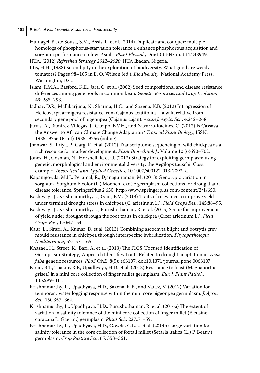182 9 Role of Plant Genetic Resources in Food Security

Hufnagel, B., de Sousa, S.M., Assis, L. et al. (2014) Duplicate and conquer: multiple homologs of phosphorus-starvation tolerance,1 enhance phosphorous acquisition and sorghum performance on low-P soils. *Plant Physiol.*, Doi:10.1104/pp. 114.243949.

IITA. (2012) *Refreshed Strategy 2012–2020*. IITA Ibadan, Nigeria.

- Iltis, H.H. (1988) Serendipity in the exploration of biodiversity. What good are weedy tomatoes? Pages 98–105 in E. O. Wilson (ed.). *Biodiversity*, National Academy Press, Washington, D.C.
- Islam, F.M.A., Basford, K.E., Jara, C. et al. (2002) Seed compositional and disease resistance differences among gene pools in common bean. *Genetic Resources and Crop Evolution*, 49: 285–293.
- Jadhav, D.R., Mallikarjuna, N., Sharma, H.C., and Saxena, K.B. (2012) Introgression of Helicoverpa armigera resistance from Cajanus acutifolius – a wild relative from secondary gene pool of pigeonpea (Cajanus cajan). *Asian J. Agric. Sci.*, 4:242–248.
- Jarvis, A., Ramirez-Villegas, J., Campo, B.V.H., and Navarro-Racines, C. (2012) Is Cassava the Answer to African Climate Change Adaptation? *Tropical Plant Biology*, ISSN: 1935–9756 (Print) 1935–9756 (online)
- Jhanwar, S., Priya, P., Garg, R. et al. (2012) Transcriptome sequencing of wild chickpea as a rich resource for marker development. *Plant Biotechnol. J.*, Volume 10 (6)690–702.
- Jones, H., Gosman, N., Horsnell, R. et al. (2013) Strategy for exploiting germplasm using genetic, morphological and environmental diversity: the Aegilops tauschii Coss. example. *Theoretical and Applied Genetics*, 10.1007/s00122-013-2093-x.
- sorghum [Sorghum bicolor (L.) Moench] exotic germplasm collections for drought and Kapanigowda, M.H., Perumal, R., Djanaguiraman, M. (2013) Genotypic variation in disease tolerance. SpringerPlus 2:650. http://www.springerplus.com/content/2/1/650.
	- Kashiwagi, J., Krishnamurthy, L., Gaur, P.M. (2013) Traits of relevance to improve yield under terminal drought stress in chickpea (C. arietinum L.). *Field Crops Res.*, 145:88–95.
	- Kashiwagi, J., Krishnamurthy, L., Purushothaman, R. et al. (2015) Scope for improvement of yield under drought through the root traits in chickpea (Cicer arietinum L.). *Field Crops Res.*, 170:47–54.
	- Kaur, L., Sirari, A., Kumar, D. et al. (2013) Combining ascochyta blight and botrytis grey mould resistance in chickpea through interspecific hybridization. *Phytopathologia Mediterranea*, 52:157–165.
	- Khazaei, H., Street, K., Bari, A. et al. (2013) The FIGS (Focused Identification of Germplasm Strategy) Approach Identifies Traits Related to drought adaptation in *Vicia faba* genetic resources. *PLoS ONE*, 8(5): e63107. doi:10.1371/journal.pone.0063107
	- Kiran, B.T., Thakur, R.P., Upadhyaya, H.D. et al. (2013) Resistance to blast (Magnaporthe grisea) in a mini core collection of finger millet germplasm. *Eur. J. Plant Pathol.*, 135:299–311.
	- Krishnamurthy, L., Upadhyaya, H.D., Saxena, K.B., and Vadez, V. (2012) Variation for temporary water logging response within the mini core pigeonpea germplasm. *J. Agric. Sci.*, 150:357–364.
	- Krishnamurthy, L., Upadhyaya, H.D., Purushothaman, R. et al. (2014a) The extent of variation in salinity tolerance of the mini core collection of finger millet (Eleusine coracana L. Gaertn.) germplasm. *Plant Sci.*, 227:51–59.
	- Krishnamurthy, L., Upadhyaya, H.D., Gowda, C.L.L. et al. (2014b) Large variation for salinity tolerance in the core collection of foxtail millet (Setaria italica (L.) P. Beauv.) germplasm. *Crop Pasture Sci.*, 65: 353–361.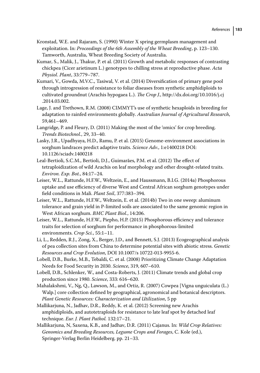- Kronstad, W.E. and Rajaram, S. (1990) Winter X spring germplasm management and exploitation. In: *Proceedings of the 6th Assembly of the Wheat Breeding*, p. 123–130. Tamworth, Australia, Wheat Breeding Society of Australia.
- Kumar, S., Malik, J., Thakur, P. et al. (2011) Growth and metabolic responses of contrasting chickpea (Cicer arietinum L.) genotypes to chilling stress at reproductive phase. *Acta Physiol*. *Plant*, 33:779–787.
- Kumari, V., Gowda, M.V.C., Tasiwal, V. et al. (2014) Diversification of primary gene pool through introgression of resistance to foliar diseases from synthetic amphidiploids to cultivated groundnut (Arachis hypogaea L.). *The Crop J.*, http://dx.doi.org/10.1016/j.cj .2014.03.002.
- Lage, J. and Trethown, R.M. (2008) CIMMYT's use of synthetic hexaploids in breeding for adaptation to rainfed environments globally. *Australian Journal of Agricultural Research*, 59,461–469.
- Langridge, P. and Fleury, D. (2011) Making the most of the 'omics' for crop breeding. *Trends Biotechnol.*, 29, 33–40.
- Lasky, J.R., Upadhyaya, H.D., Ramu, P. et al. (2015) Genome-environment associations in sorghum landraces predict adaptive traits. *Science Adv.*, 1:e1400218 DOI: 10.1126/sciadv.1400218
- Leal-Bertioli, S.C.M., Bertioli, D.J., Guimarães, P.M. et al. (2012) The effect of tetraploidization of wild Arachis on leaf morphology and other drought-related traits. *Environ. Exp. Bot.*, 84:17–24.
- ❦ ❦ uptake and use efficiency of diverse West and Central African sorghum genotypes under Leiser, W.L., Rattunde, H.F.W., Weltzein, E., and Haussmann, B.I.G. (2014a) Phosphorous field conditions in Mali. *Plant Soil*, 377:383–394.
	- Leiser, W.L., Rattunde, H.F.W., Weltzein, E. et al. (2014b) Two in one sweep: aluminum tolerance and grain yield in P-limited soils are associated to the same genomic region in West African sorghum. *BMC Plant Biol.*, 14:206.
	- Leiser, W.L., Rattunde, H.F.W., Piepho, H.P. (2015) Phosphorous efficiency and tolerance traits for selection of sorghum for performance in phosphorous-limited environments. *Crop Sci.*, 55:1–11.
	- Li, L., Redden, R.J., Zong, X., Berger, J.D., and Bennett, S.J. (2013) Ecogeographical analysis of pea collection sites from China to determine potential sites with abiotic stress. *Genetic Resources and Crop Evolution*, DOI 10.1007/s 10722-013-9955-6.
	- Lobell, D.B., Burke, M.B., Tebaldi, C. et al. (2008) Prioritizing Climate Change Adaptation Needs for Food Security in 2030. *Science*, 319, 607–610.
	- Lobell, D.B., Schlenker, W., and Costa-Roberts, J. (2011) Climate trends and global crop production since 1980. *Science*, 333: 616–620.
	- Mahalakshmi, V., Ng, Q., Lawson, M., and Ortiz, R. (2007) Cowpea [Vigna unguiculata (L.) Walp.] core collection defined by geographical, agronomical and botanical descriptors. *Plant Genetic Resources: Characterization and Utilization*, 5 pp
	- Mallikarjuna, N., Jadhav, D.R., Reddy, K. et al. (2012) Screening new Arachis amphidiploids, and autotetraploids for resistance to late leaf spot by detached leaf technique. *Eur. J. Plant Pathol.* 132:17–21.
	- Mallikarjuna, N, Saxena, K.B., and Jadhav, D.R. (2011) Cajanus. In: *Wild Crop Relatives: Genomics and Breeding Resources, Legume Crops and Forages*, C. Kole (ed.), Springer-Verlag Berlin Heidelberg. pp. 21–33.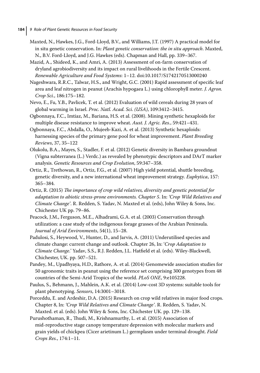- Maxted, N., Hawkes, J.G., Ford-Lloyd, B.V., and Williams, J.T. (1997) A practical model for in situ genetic conservation. In: *Plant genetic conservation: the in situ approach*. Maxted, N., B.V. Ford-Lloyd, and J.G. Hawkes (eds). Chapman and Hall, pp. 339–367.
- Mazid, A., Shideed, K., and Amri, A. (2013) Assessment of on-farm conservation of dryland agrobiodiversity and its impact on rural livelihoods in the Fertile Crescent. *Renewable Agriculture and Food Systems*: 1–12. doi:10.1017/S1742170513000240
- Nageshwara, R.R.C., Talwar, H.S., and Wright, G.C. (2001) Rapid assessment of specific leaf area and leaf nitrogen in peanut (Arachis hypogaea L.) using chlorophyll meter. *J. Agron. Crop Sci.*, 186:175–182.
- Nevo, E., Fu, Y.B., Pavlicek, T. et al. (2012) Evaluation of wild cereals during 28 years of global warming in Israel. *Proc. Natl. Acad. Sci. (USA)*, 109:3412–3415.
- Ogbonnaya, F.C., Imtiaz, M., Bariana, H.S. et al. (2008). Mining synthetic hexaploids for multiple disease resistance to improve wheat. *Aust. J. Agric. Res.*, 59:421–431.
- Ogbonnaya, F.C., Abdalla, O., Mujeeb-Kazi, A. et al. (2013) Synthetic hexaploids: harnessing species of the primary gene pool for wheat improvement. *Plant Breeding Reviews*, 37, 35–122
- Olukolu, B.A., Mayes, S., Stadler, F. et al. (2012) Genetic diversity in Bambara groundnut (Vigna subterranea (L.) Verdc.) as revealed by phenotypic descriptors and DArT marker analysis. *Genetic Resources and Crop Evolution*, 59:347–358.
- Ortiz, R., Trethowan, R., Ortiz, F.G., et al. (2007) High yield potential, shuttle breeding, genetic diversity, and a new international wheat improvement strategy. *Euphytica*, 157: 365–384.
- ❦ ❦ Ortiz, R. (2015) *The importance of crop wild relatives, diversity and genetic potential for adaptation to abiotic stress-prone environments. Chapter 5*. In: *'Crop Wild Relatives and Climate Change'*. R. Redden, S. Yadav, N. Maxted et al. (eds), John Wiley & Sons, Inc. Chichester UK pp. 79–86.
	- Peacock, J.M., Ferguson, M.E., Alhadrami, G.A. et al. (2003) Conservation through utilization: a case study of the indigenous forage grasses of the Arabian Peninsula. *Journal of Arid Environments*, 54(1), 15–28.
	- Padulosi, S., Heywood, V., Hunter, D., and Jarvis, A. (2011) Underutilised species and climate change: current change and outlook. Chapter 26, In: '*Crop Adaptation to Climate Change*.' Yadav, S.S., R.J. Redden, J.L. Hatfield et al. (eds). Wiley-Blackwell, Chichester, UK. pp. 507–521.
	- Pandey, M., Upadhyaya, H.D., Rathore, A. et al. (2014) Genomewide association studies for 50 agronomic traits in peanut using the reference set comprising 300 genotypes from 48 countries of the Semi-Arid Tropics of the world. *PLoS ONE*, 9:e105228.
	- Paulus, S., Behmann, J., Mahlein, A.K. et al. (2014) Low-cost 3D systems: suitable tools for plant phenotyping. *Sensors*, 14:3001–3018.
	- Porceddu, E. and Ardeshir, D.A. (2015) Research on crop wild relatives in major food crops. Chapter 8, In: *'Crop Wild Relatives and Climate Change'*. R. Redden, S. Yadav, N. Maxted. et al. (eds). John Wiley & Sons, Inc. Chichester UK. pp. 129–138.
	- Purushothaman, R., Thudi, M., Krishnamurthy, L. et al. (2015) Association of mid-reproductive stage canopy temperature depression with molecular markers and grain yields of chickpea (Cicer arietinum L.) germplasm under terminal drought. *Field Crops Res.*, 174:1–11.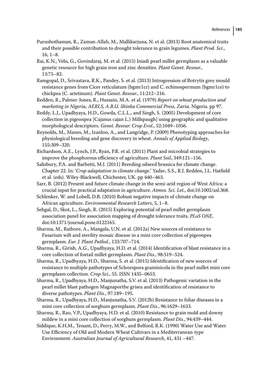- Purushothaman, R., Zaman-Allah, M., Mallikarjuna, N. et al. (2013) Root anatomical traits and their possible contribution to drought tolerance in grain legumes. *Plant Prod. Sci.*, 16, 1–8.
- Rai, K.N., Velu, G., Govindaraj, M. et al. (2015) Iniadi pearl millet germplasm as a valuable genetic resource for high grain iron and zinc densities. *Plant Genet. Resour.*, 13:75–82.
- Ramgopal, D., Srivastava, R.K., Pandey, S. et al. (2013) Introgression of Botrytis grey mould resistance genes from Cicer reticulatum (bgmr1cr) and C. echinospermum (bgmr1ce) to chickpea (C. arietinum). *Plant Genet. Resour.*, 11:212–216.
- Redden, R., Palmer-Jones, R., Hussain, M.A. et al. (1979) *Report on wheat production and marketing in Nigeria, AERLS, A.B.U. Shinka Commercial Press, Zaria*. Nigeria. pp 97.
- Reddy, L.J., Upadhyaya, H.D., Gowda, C.L.L., and Singh, S. (2005) Development of core collection in pigeonpea [Cajanus cajan L.) Millspaugh] using geographic and qualitative morphological descriptors. *Genet. Resour. Crop Evol.*, 52:1049–1056.
- Reynolds, M., Manes, M., Izanloo, A., and Langridge, P. (2009) Phenotyping approaches for physiological breeding and gene discovery in wheat. *Annals of Applied Biology*, 155:309–320.
- Richardson, A.E., Lynch, J.P., Ryan, P.R. et al. (2011) Plant and microbial strategies to improve the phosphorous efficiency of agriculture. *Plant Soil*, 349:121–156.
- Salisbury, P.A. and Barbetti, M.J. (2011) Breeding oilseed brassica for climate change. Chapter 22. In: '*Crop adaptation to climate change*.' Yadav, S.S., R.J. Redden, J.L. Hatfield et al. (eds). Wiley-Blackwell, Chichester, UK. pp 440–463.
- Sarr, B. (2012) Present and future climate change in the semi-arid region of West Africa: a crucial input for practical adaptation in agriculture. *Atmos. Sci. Let.*, doi:10.1002/asl.368.
	- Schlenker, W. and Lobell, D.B. (2010) Robust negative impacts of climate change on African agriculture. *Environmental Research Letters*, 5, 1–8.
	- Sehgal, D., Skot, L., Singh, R. (2015) Exploring potential of pearl millet germplasm association panel for association mapping of drought tolerance traits. *PLoS ONE*, doi:10:1371/journal.pone.0122165.
	- Sharma, M., Rathore, A., Mangala, U.N. et al. (2012a) New sources of resistance to Fusarium wilt and sterility mosaic disease in a mini core collection of pigeonpea germplasm. *Eur. J. Plant Pathol.*, 133:707–714.
	- Sharma, R., Girish, A.G., Upadhyaya, H.D. et al. (2014) Identification of blast resistance in a core collection of foxtail millet germplasm. *Plant Dis.*, 98:519–524.
	- Sharma, R., Upadhyaya, H.D., Sharma, S. et al. (2015) Identification of new sources of resistance to multiple pathotypes of Scleorspora graminicola in the pearl millet mini core germplasm collection. *Crop Sci.*, 55. ISSN 1435–0653.
	- Sharma, R., Upadhyaya, H.D., Manjunatha, S.V. et al. (2013) Pathogenic variation in the pearl millet blast pathogen Magnaporthe grisea and identification of resistance to diverse pathotypes. *Plant Dis.*, 97:189–195.
	- Sharma, R., Upadhyaya, H.D., Manjunatha, S.V. (2012b) Resistance to foliar diseases in a mini core collection of sorghum germplasm. *Plant Dis.*, 96:1629–1633.
	- Sharma, R., Rao, V.P., Upadhyaya, H.D. et al. (2010) Resistance to grain mold and downy mildew in a mini core collection of sorghum germplasm. *Plant Dis.*, 94:439–444.
	- Siddique, K.H.M., Tenant, D., Perry, M.W., and Belford, R.K. (1990) Water Use and Water Use Efficiency of Old and Modern Wheat Cultivars in a Mediterranean-type Environment. *Australian Journal of Agricultural Research*, 41, 431 –447.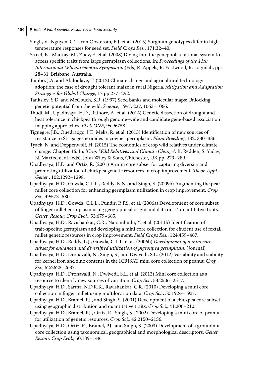- Singh, V., Nguyen, C.T., van Oosterom, E.J. et al. (2015) Sorghum genotypes differ in high temperature responses for seed set. *Field Crops Res.*, 171:32–40.
- Street, K., Mackay, M., Zuev, E. et al. (2008) Diving into the genepool: a rational system to access specific traits from large germplasm collections. In: *Proceedings of the 11th International Wheat Genetics Symposium* (Eds) R. Appels, R. Eastwood, R. Lagudah, pp: 28–31. Brisbane, Australia.
- Tambo, J.A. and Abdoulaye, T. (2012) Climate change and agricultural technology adoption: the case of drought tolerant maize in rural Nigeria. *Mitigation and Adaptation Strategies for Global Change*, 17 pp 277–292.
- Tanksley, S.D. and McCouch, S.R. (1997) Seed banks and molecular maps: Unlocking genetic potential from the wild. *Science*, 1997, 227, 1063–1066.
- Thudi, M., Upadhyaya, H.D., Rathore, A. et al. (2014) Genetic dissection of drought and heat tolerance in chickpea through genome-wide and candidate gene-based association mapping approaches. *PLoS ONE*, 9:e96758.
- Tignegre, J.B., Ouedraogo, J.T., Melis, R. et al. (2013) Identification of new sources of resistance to Striga gesnerioides in cowpea germplasm. *Plant Breeding*, 132, 330–336.
- Tyack, N. and Deppenwolf, H. (2015) The economics of crop wild relatives under climate change. Chapter 16. In: *'Crop Wild Relatives and Climate Change'*. R. Redden, S. Yadav, N. Maxted et al. (eds), John Wiley & Sons, Chichester, UK pp. 279–289.
- Upadhyaya, H.D. and Ortiz, R. (2001) A mini core subset for capturing diversity and promoting utilization of chickpea genetic resources in crop improvement. *Theor. Appl. Genet.*, 102:1292–1298.
- ❦ ❦ Upadhyaya, H.D., Gowda, C.L.L., Reddy, K.N., and Singh, S. (2009b) Augmenting the pearl millet core collection for enhancing germplasm utilization in crop improvement. *Crop Sci.*, 49:573–580.
	- Upadhyaya, H.D., Gowda, C.L.L., Pundir, R.P.S. et al. (2006a) Development of core subset of finger millet germplasm using geographical origin and data on 14 quantitative traits. *Genet. Resour. Crop Evol.*, 53:679–685.
	- Upadhyaya, H.D., Ravishankar, C.R., Narsimhudu, Y. et al. (2011b) Identification of trait-specific germplasm and developing a mini core collection for efficient use of foxtail millet genetic resources in crop improvement. *Field Crops Res.*, 124:459–467.
	- Upadhyaya, H.D., Reddy, L.J., Gowda, C.L.L. et al. (2006b) *Development of a mini core subset for enhanced and diversified utilization of pigeonpea germplasm*. (Journal)
	- Upadhyaya, H.D., Dronavalli, N., Singh, S., and Dwivedi, S.L. (2012) Variability and stability for kernel iron and zinc contents in the ICRISAT mini core collection of peanut. *Crop Sci.*, 52:2628–2637.
	- Upadhyaya, H.D., Dronavalli, N., Dwivedi, S.L. et al. (2013) Mini core collection as a resource to identify new sources of variation. *Crop Sci.*, 53:2506–2517.
	- Upadhyaya, H.D., Sarma, N.D.R.K., Ravishankar, C.R. (2010) Developing a mini core collection in finger millet using multilocation data. *Crop Sci.*, 50:1924–1931.
	- Upadhyaya, H.D., Bramel, P.J., and Singh, S. (2001) Development of a chickpea core subset using geographic distribution and quantitative traits. *Crop Sci.*, 41:206–210.
	- Upadhyaya, H.D., Bramel, P.J., Ortiz, R., Singh, S. (2002) Developing a mini core of peanut for utilization of genetic resources. *Crop Sci.*, 42:2150–2156.
	- Upadhyaya, H.D., Ortiz, R., Bramel, P.J., and Singh, S. (2003) Development of a groundnut core collection using taxonomical, geographical and morphological descriptors. *Genet. Resour. Crop Evol.*, 50:139–148.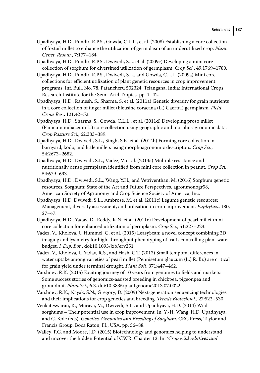- Upadhyaya, H.D., Pundir, R.P.S., Gowda, C.L.L., et al. (2008) Establishing a core collection of foxtail millet to enhance the utilization of germplasm of an underutilized crop. *Plant Genet. Resour.*, 7:177–184.
- Upadhyaya, H.D., Pundir, R.P.S., Dwivedi, S.L. et al. (2009c) Developing a mini core collection of sorghum for diversified utilization of germplasm. *Crop Sci.*, 49:1769–1780.
- Upadhyaya, H.D., Pundir, R.P.S., Dwivedi, S.L., and Gowda, C.L.L. (2009a) Mini core collections for efficient utilization of plant genetic resources in crop improvement programs. Inf. Bull. No. 78. Patancheru 502324, Telangana, India: International Crops Research Institute for the Semi-Arid Tropics. pp. 1–42.
- Upadhyaya, H.D., Ramesh, S., Sharma, S. et al. (2011a) Genetic diversity for grain nutrients in a core collection of finger millet (Eleusine coracana (L.) Gaertn.) germplasm. *Field Crops Res.*, 121:42–52.
- Upadhyaya, H.D., Sharma, S., Gowda, C.L.L., et al. (2011d) Developing proso millet (Panicum miliaceum L.) core collection using geographic and morpho-agronomic data. *Crop Pasture Sci.*, 62:383–389.
- Upadhyaya, H.D., Dwivedi, S.L., Singh, S.K. et al. (2014b) Forming core collection in barnyard, kodo, and little millets using morphoagronomic descriptors. *Crop Sci.*, 54:2673–2682.
- Upadhyaya, H.D., Dwivedi, S.L., Vadez, V. et al. (2014a) Multiple resistance and nutritionally dense germplasm identified from mini core collection in peanut. *Crop Sci.*, 54:679–693.
- ❦ ❦ resources. Sorghum: State of the Art and Future Perspectives, agronmonogr58, Upadhyaya, H.D., Dwivedi, S.L., Wang, Y.H., and Vetriventhan, M. (2016) Sorghum genetic American Society of Agronomy and Crop Science Society of America, Inc.
	- Upadhyaya, H.D. Dwivedi, S.L., Ambrose, M. et al. (2011c) Legume genetic resources: Management, diversity assessment, and utilisation in crop improvement. *Euphytica*, 180, 27–47.
	- Upadhyaya, H.D., Yadav, D., Reddy, K.N. et al. (2011e) Development of pearl millet mini core collection for enhanced utilization of germplasm. *Crop Sci.*, 51:227–223.
	- Vadez, V., Kholová, J., Hummel, G. et al. (2015) LeasyScan: a novel concept combining 3D imaging and lysimetry for high-throughput phenotyping of traits controlling plant water budget. *J. Exp. Bot.*, doi:10.1093/jxb/erv251.
	- Vadez, V., Kholová, J., Yadav, R.S., and Hash, C.T. (2013) Small temporal differences in water uptake among varieties of pearl millet (Pennisetum glaucum (L.) R. Br.) are critical for grain yield under terminal drought. *Plant Soil*, 371:447–462.
	- Varshney, R.K. (2015) Exciting journey of 10 years from genomes to fields and markets: Some success stories of genomics-assisted breeding in chickpea, pigeonpea and groundnut. *Plant Sci.*, 6.3. doi:10.3835/plantgenome2013.07.0022
	- Varshney, R.K., Nayak, S.N., Gregory, D. (2009) Next-generation sequencing technologies and their implications for crop genetics and breeding. *Trends Biotechnol.*, 27:522–530.
	- Venkateswaran, K., Muraya, M., Dwivedi, S.L., and Upadhyaya, H.D. (2014) Wild sorghums – Their potential use in crop improvement. In: Y.-H. Wang, H.D. Upadhyaya, and C. Kole (eds), *Genetics, Genomics and Breeding of Sorghum*. CRC Press, Taylor and Francis Group. Boca Raton, FL, USA. pp. 56–88.
	- Walley, P.G. and Moore, J.D. (2015) Biotechnology and genomics helping to understand and uncover the hidden Potential of CWR. Chapter 12. In: *'Crop wild relatives and*